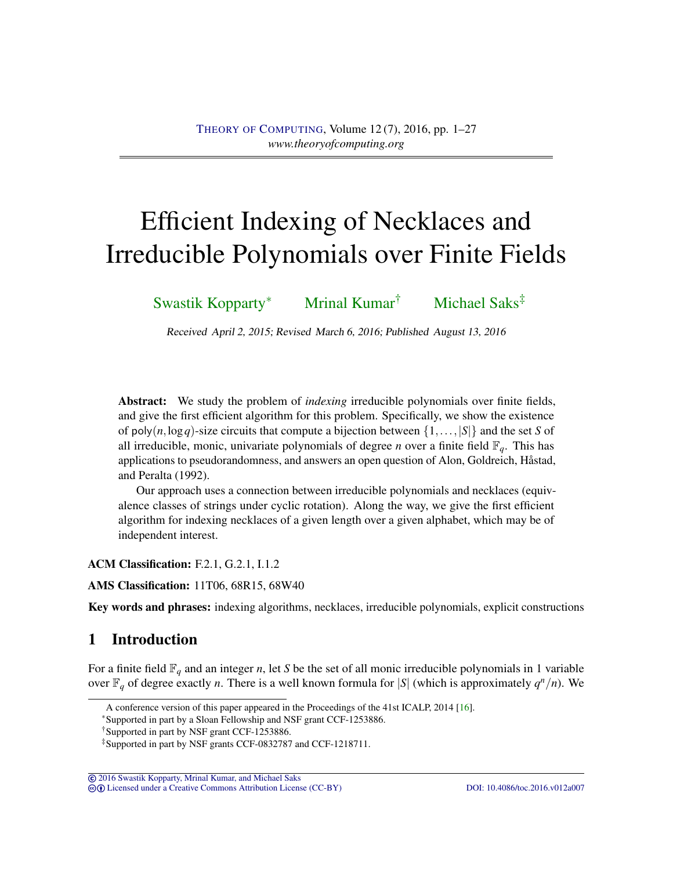# <span id="page-0-0"></span>Efficient Indexing of Necklaces and Irreducible Polynomials over Finite Fields

[Swastik Kopparty](#page-25-0)<sup>∗</sup> [Mrinal Kumar](#page-25-1)† [Michael Saks](#page-25-2)‡

Received April 2, 2015; Revised March 6, 2016; Published August 13, 2016

Abstract: We study the problem of *indexing* irreducible polynomials over finite fields, and give the first efficient algorithm for this problem. Specifically, we show the existence of poly $(n, \log q)$ -size circuits that compute a bijection between  $\{1, \ldots, |S|\}$  and the set *S* of all irreducible, monic, univariate polynomials of degree *n* over a finite field  $\mathbb{F}_q$ . This has applications to pseudorandomness, and answers an open question of Alon, Goldreich, Håstad, and Peralta (1992).

Our approach uses a connection between irreducible polynomials and necklaces (equivalence classes of strings under cyclic rotation). Along the way, we give the first efficient algorithm for indexing necklaces of a given length over a given alphabet, which may be of independent interest.

ACM Classification: F.2.1, G.2.1, I.1.2

AMS Classification: 11T06, 68R15, 68W40

Key words and phrases: indexing algorithms, necklaces, irreducible polynomials, explicit constructions

# 1 Introduction

For a finite field  $\mathbb{F}_q$  and an integer *n*, let *S* be the set of all monic irreducible polynomials in 1 variable over  $\mathbb{F}_q$  of degree exactly *n*. There is a well known formula for |S| (which is approximately  $q^n/n$ ). We

<sup>∗</sup>Supported in part by a Sloan Fellowship and NSF grant CCF-1253886.

© [2016 Swastik Kopparty, Mrinal Kumar, and Michael Saks](http://theoryofcomputing.org/copyright2009.html)

cb [Licensed under a Creative Commons Attribution License \(CC-BY\)](http://creativecommons.org/licenses/by/3.0/) [DOI: 10.4086/toc.2016.v012a007](http://dx.doi.org/10.4086/toc.2016.v012a007)

A conference version of this paper appeared in the Proceedings of the 41st ICALP, 2014 [\[16\]](#page-24-0).

<sup>†</sup>Supported in part by NSF grant CCF-1253886.

<sup>‡</sup>Supported in part by NSF grants CCF-0832787 and CCF-1218711.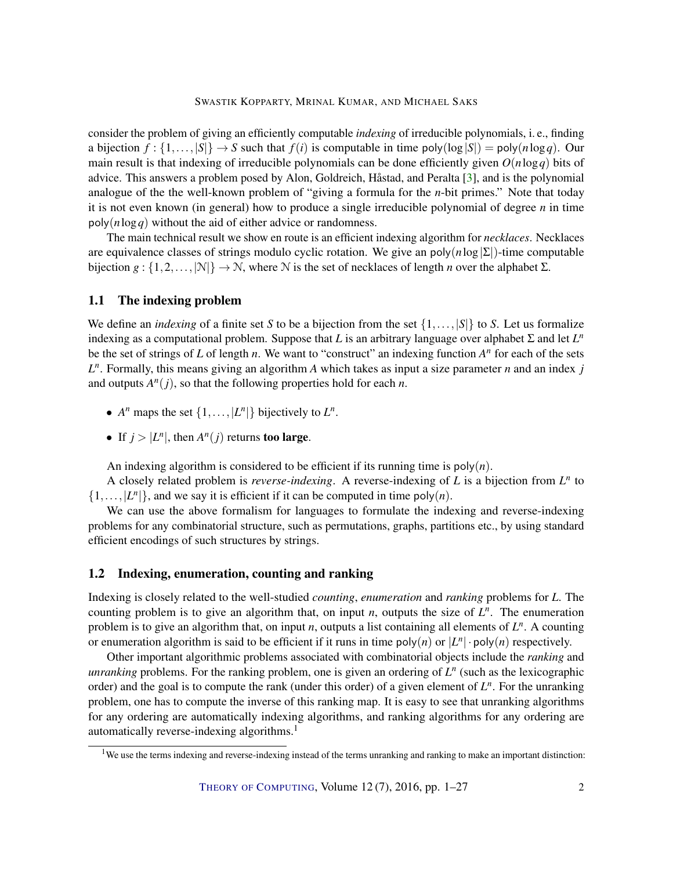<span id="page-1-0"></span>consider the problem of giving an efficiently computable *indexing* of irreducible polynomials, i. e., finding a bijection  $f : \{1, \ldots, |S|\} \rightarrow S$  such that  $f(i)$  is computable in time poly $(\log |S|) = \text{poly}(n \log q)$ . Our main result is that indexing of irreducible polynomials can be done efficiently given *O*(*n*log*q*) bits of advice. This answers a problem posed by Alon, Goldreich, Håstad, and Peralta [\[3\]](#page-23-0), and is the polynomial analogue of the the well-known problem of "giving a formula for the *n*-bit primes." Note that today it is not even known (in general) how to produce a single irreducible polynomial of degree *n* in time poly(*n*log*q*) without the aid of either advice or randomness.

The main technical result we show en route is an efficient indexing algorithm for *necklaces*. Necklaces are equivalence classes of strings modulo cyclic rotation. We give an poly(*n*log|Σ|)-time computable bijection *g* :  $\{1, 2, ..., |\mathcal{N}|\} \rightarrow \mathcal{N}$ , where  $\mathcal N$  is the set of necklaces of length *n* over the alphabet  $\Sigma$ .

#### 1.1 The indexing problem

We define an *indexing* of a finite set *S* to be a bijection from the set  $\{1,\ldots,|S|\}$  to *S*. Let us formalize indexing as a computational problem. Suppose that *L* is an arbitrary language over alphabet  $\Sigma$  and let  $L^n$ be the set of strings of  $L$  of length  $n$ . We want to "construct" an indexing function  $A<sup>n</sup>$  for each of the sets  $L^n$ . Formally, this means giving an algorithm *A* which takes as input a size parameter *n* and an index *j* and outputs  $A<sup>n</sup>(j)$ , so that the following properties hold for each *n*.

- $A^n$  maps the set  $\{1, \ldots, |L^n|\}$  bijectively to  $L^n$ .
- If  $j > |L^n|$ , then  $A^n(j)$  returns too large.

An indexing algorithm is considered to be efficient if its running time is  $poly(n)$ .

A closely related problem is *reverse-indexing*. A reverse-indexing of *L* is a bijection from *L n* to  $\{1,\ldots,|L^n|\}$ , and we say it is efficient if it can be computed in time poly(*n*).

We can use the above formalism for languages to formulate the indexing and reverse-indexing problems for any combinatorial structure, such as permutations, graphs, partitions etc., by using standard efficient encodings of such structures by strings.

#### 1.2 Indexing, enumeration, counting and ranking

Indexing is closely related to the well-studied *counting*, *enumeration* and *ranking* problems for *L*. The counting problem is to give an algorithm that, on input *n*, outputs the size of  $L^n$ . The enumeration problem is to give an algorithm that, on input *n*, outputs a list containing all elements of *L n* . A counting or enumeration algorithm is said to be efficient if it runs in time  $poly(n)$  or  $|L^n| \cdot poly(n)$  respectively.

Other important algorithmic problems associated with combinatorial objects include the *ranking* and *unranking* problems. For the ranking problem, one is given an ordering of  $L^n$  (such as the lexicographic order) and the goal is to compute the rank (under this order) of a given element of  $L^n$ . For the unranking problem, one has to compute the inverse of this ranking map. It is easy to see that unranking algorithms for any ordering are automatically indexing algorithms, and ranking algorithms for any ordering are automatically reverse-indexing algorithms.<sup>1</sup>

 $1$ We use the terms indexing and reverse-indexing instead of the terms unranking and ranking to make an important distinction: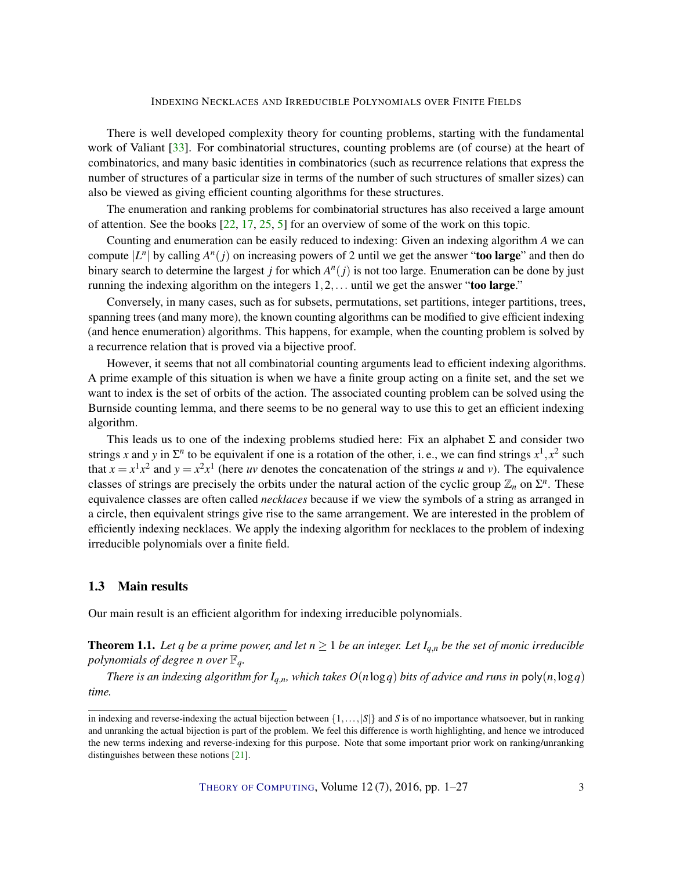<span id="page-2-0"></span>There is well developed complexity theory for counting problems, starting with the fundamental work of Valiant [\[33\]](#page-25-3). For combinatorial structures, counting problems are (of course) at the heart of combinatorics, and many basic identities in combinatorics (such as recurrence relations that express the number of structures of a particular size in terms of the number of such structures of smaller sizes) can also be viewed as giving efficient counting algorithms for these structures.

The enumeration and ranking problems for combinatorial structures has also received a large amount of attention. See the books [\[22,](#page-24-1) [17,](#page-24-2) [25,](#page-24-3) [5\]](#page-23-1) for an overview of some of the work on this topic.

Counting and enumeration can be easily reduced to indexing: Given an indexing algorithm *A* we can compute  $|L^n|$  by calling  $A^n(j)$  on increasing powers of 2 until we get the answer "**too large**" and then do binary search to determine the largest *j* for which  $A<sup>n</sup>(j)$  is not too large. Enumeration can be done by just running the indexing algorithm on the integers  $1, 2, \ldots$  until we get the answer "too large."

Conversely, in many cases, such as for subsets, permutations, set partitions, integer partitions, trees, spanning trees (and many more), the known counting algorithms can be modified to give efficient indexing (and hence enumeration) algorithms. This happens, for example, when the counting problem is solved by a recurrence relation that is proved via a bijective proof.

However, it seems that not all combinatorial counting arguments lead to efficient indexing algorithms. A prime example of this situation is when we have a finite group acting on a finite set, and the set we want to index is the set of orbits of the action. The associated counting problem can be solved using the Burnside counting lemma, and there seems to be no general way to use this to get an efficient indexing algorithm.

This leads us to one of the indexing problems studied here: Fix an alphabet  $\Sigma$  and consider two strings x and y in  $\Sigma^n$  to be equivalent if one is a rotation of the other, i. e., we can find strings  $x^1, x^2$  such that  $x = x^1 x^2$  and  $y = x^2 x^1$  (here *uv* denotes the concatenation of the strings *u* and *v*). The equivalence classes of strings are precisely the orbits under the natural action of the cyclic group  $\mathbb{Z}_n$  on  $\Sigma^n$ . These equivalence classes are often called *necklaces* because if we view the symbols of a string as arranged in a circle, then equivalent strings give rise to the same arrangement. We are interested in the problem of efficiently indexing necklaces. We apply the indexing algorithm for necklaces to the problem of indexing irreducible polynomials over a finite field.

## 1.3 Main results

Our main result is an efficient algorithm for indexing irreducible polynomials.

**Theorem 1.1.** Let q be a prime power, and let  $n \geq 1$  be an integer. Let  $I_{q,n}$  be the set of monic irreducible *polynomials of degree n over*  $\mathbb{F}_q$ *.* 

*There is an indexing algorithm for*  $I_{q,n}$ *, which takes*  $O(n \log q)$  *bits of advice and runs in*  $poly(n, \log q)$ *time.*

in indexing and reverse-indexing the actual bijection between  $\{1, \ldots, |S|\}$  and *S* is of no importance whatsoever, but in ranking and unranking the actual bijection is part of the problem. We feel this difference is worth highlighting, and hence we introduced the new terms indexing and reverse-indexing for this purpose. Note that some important prior work on ranking/unranking distinguishes between these notions [\[21\]](#page-24-4).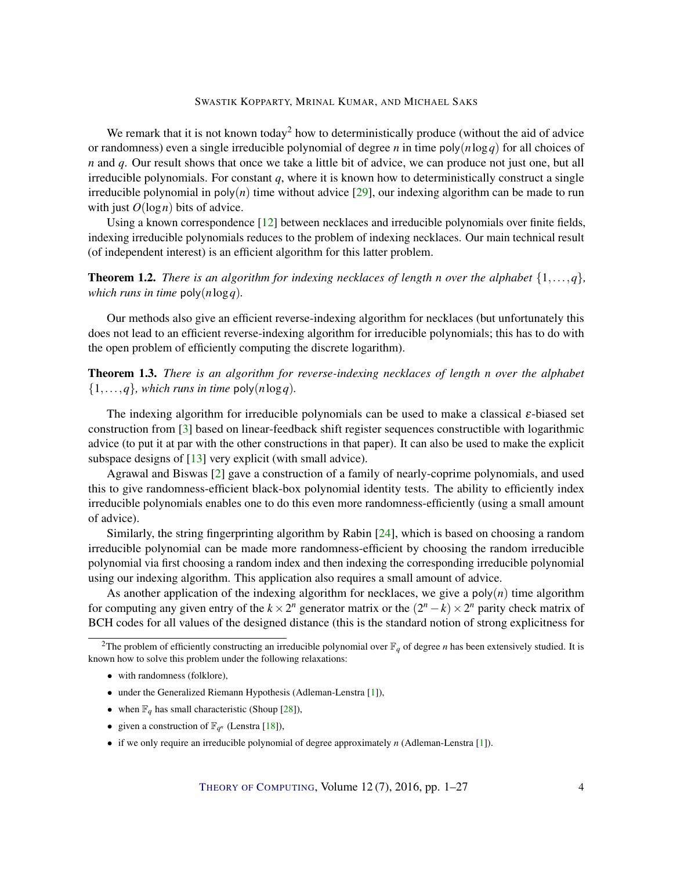<span id="page-3-2"></span>We remark that it is not known today<sup>2</sup> how to deterministically produce (without the aid of advice or randomness) even a single irreducible polynomial of degree *n* in time poly(*n*log*q*) for all choices of *n* and *q*. Our result shows that once we take a little bit of advice, we can produce not just one, but all irreducible polynomials. For constant *q*, where it is known how to deterministically construct a single irreducible polynomial in  $poly(n)$  time without advice  $[29]$ , our indexing algorithm can be made to run with just  $O(\log n)$  bits of advice.

Using a known correspondence [\[12\]](#page-23-2) between necklaces and irreducible polynomials over finite fields, indexing irreducible polynomials reduces to the problem of indexing necklaces. Our main technical result (of independent interest) is an efficient algorithm for this latter problem.

<span id="page-3-0"></span>**Theorem 1.2.** *There is an algorithm for indexing necklaces of length n over the alphabet*  $\{1,\ldots,q\}$ *, which runs in time* poly(*n*log*q*)*.*

Our methods also give an efficient reverse-indexing algorithm for necklaces (but unfortunately this does not lead to an efficient reverse-indexing algorithm for irreducible polynomials; this has to do with the open problem of efficiently computing the discrete logarithm).

<span id="page-3-1"></span>Theorem 1.3. *There is an algorithm for reverse-indexing necklaces of length n over the alphabet*  $\{1,\ldots,q\}$ *, which runs in time* poly $(n \log q)$ *.* 

The indexing algorithm for irreducible polynomials can be used to make a classical ε-biased set construction from [\[3\]](#page-23-0) based on linear-feedback shift register sequences constructible with logarithmic advice (to put it at par with the other constructions in that paper). It can also be used to make the explicit subspace designs of [\[13\]](#page-23-3) very explicit (with small advice).

Agrawal and Biswas [\[2\]](#page-23-4) gave a construction of a family of nearly-coprime polynomials, and used this to give randomness-efficient black-box polynomial identity tests. The ability to efficiently index irreducible polynomials enables one to do this even more randomness-efficiently (using a small amount of advice).

Similarly, the string fingerprinting algorithm by Rabin [\[24\]](#page-24-5), which is based on choosing a random irreducible polynomial can be made more randomness-efficient by choosing the random irreducible polynomial via first choosing a random index and then indexing the corresponding irreducible polynomial using our indexing algorithm. This application also requires a small amount of advice.

As another application of the indexing algorithm for necklaces, we give a  $poly(n)$  time algorithm for computing any given entry of the  $k \times 2^n$  generator matrix or the  $(2^n - k) \times 2^n$  parity check matrix of BCH codes for all values of the designed distance (this is the standard notion of strong explicitness for

- with randomness (folklore),
- under the Generalized Riemann Hypothesis (Adleman-Lenstra [\[1\]](#page-23-5)),
- when  $\mathbb{F}_q$  has small characteristic (Shoup [\[28\]](#page-25-5)),
- given a construction of  $\mathbb{F}_{q^n}$  (Lenstra [\[18\]](#page-24-6)),
- if we only require an irreducible polynomial of degree approximately *n* (Adleman-Lenstra [\[1\]](#page-23-5)).

<sup>&</sup>lt;sup>2</sup>The problem of efficiently constructing an irreducible polynomial over  $\mathbb{F}_q$  of degree *n* has been extensively studied. It is known how to solve this problem under the following relaxations: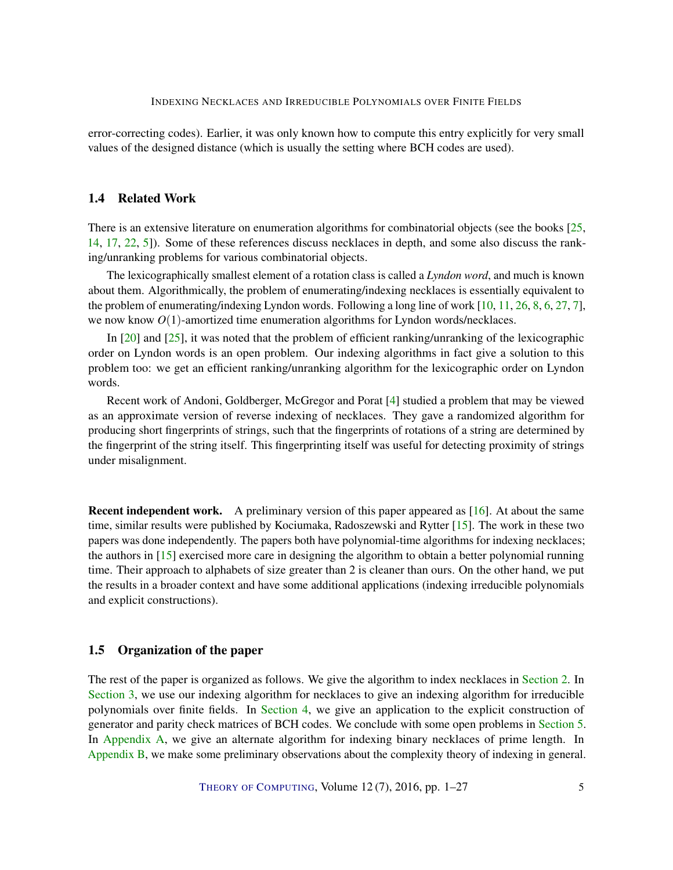<span id="page-4-0"></span>error-correcting codes). Earlier, it was only known how to compute this entry explicitly for very small values of the designed distance (which is usually the setting where BCH codes are used).

## 1.4 Related Work

There is an extensive literature on enumeration algorithms for combinatorial objects (see the books [\[25,](#page-24-3) [14,](#page-24-7) [17,](#page-24-2) [22,](#page-24-1) [5\]](#page-23-1)). Some of these references discuss necklaces in depth, and some also discuss the ranking/unranking problems for various combinatorial objects.

The lexicographically smallest element of a rotation class is called a *Lyndon word*, and much is known about them. Algorithmically, the problem of enumerating/indexing necklaces is essentially equivalent to the problem of enumerating/indexing Lyndon words. Following a long line of work [\[10,](#page-23-6) [11,](#page-23-7) [26,](#page-24-8) [8,](#page-23-8) [6,](#page-23-9) [27,](#page-25-6) [7\]](#page-23-10), we now know  $O(1)$ -amortized time enumeration algorithms for Lyndon words/necklaces.

In [\[20\]](#page-24-9) and [\[25\]](#page-24-3), it was noted that the problem of efficient ranking/unranking of the lexicographic order on Lyndon words is an open problem. Our indexing algorithms in fact give a solution to this problem too: we get an efficient ranking/unranking algorithm for the lexicographic order on Lyndon words.

Recent work of Andoni, Goldberger, McGregor and Porat [\[4\]](#page-23-11) studied a problem that may be viewed as an approximate version of reverse indexing of necklaces. They gave a randomized algorithm for producing short fingerprints of strings, such that the fingerprints of rotations of a string are determined by the fingerprint of the string itself. This fingerprinting itself was useful for detecting proximity of strings under misalignment.

Recent independent work. A preliminary version of this paper appeared as [\[16\]](#page-24-0). At about the same time, similar results were published by Kociumaka, Radoszewski and Rytter [\[15\]](#page-24-10). The work in these two papers was done independently. The papers both have polynomial-time algorithms for indexing necklaces; the authors in [\[15\]](#page-24-10) exercised more care in designing the algorithm to obtain a better polynomial running time. Their approach to alphabets of size greater than 2 is cleaner than ours. On the other hand, we put the results in a broader context and have some additional applications (indexing irreducible polynomials and explicit constructions).

#### 1.5 Organization of the paper

The rest of the paper is organized as follows. We give the algorithm to index necklaces in [Section](#page-5-0) [2.](#page-5-0) In [Section](#page-13-0) [3,](#page-13-0) we use our indexing algorithm for necklaces to give an indexing algorithm for irreducible polynomials over finite fields. In [Section](#page-15-0) [4,](#page-15-0) we give an application to the explicit construction of generator and parity check matrices of BCH codes. We conclude with some open problems in [Section](#page-18-0) [5.](#page-18-0) In [Appendix](#page-19-0) [A,](#page-19-0) we give an alternate algorithm for indexing binary necklaces of prime length. In [Appendix](#page-21-0) [B,](#page-21-0) we make some preliminary observations about the complexity theory of indexing in general.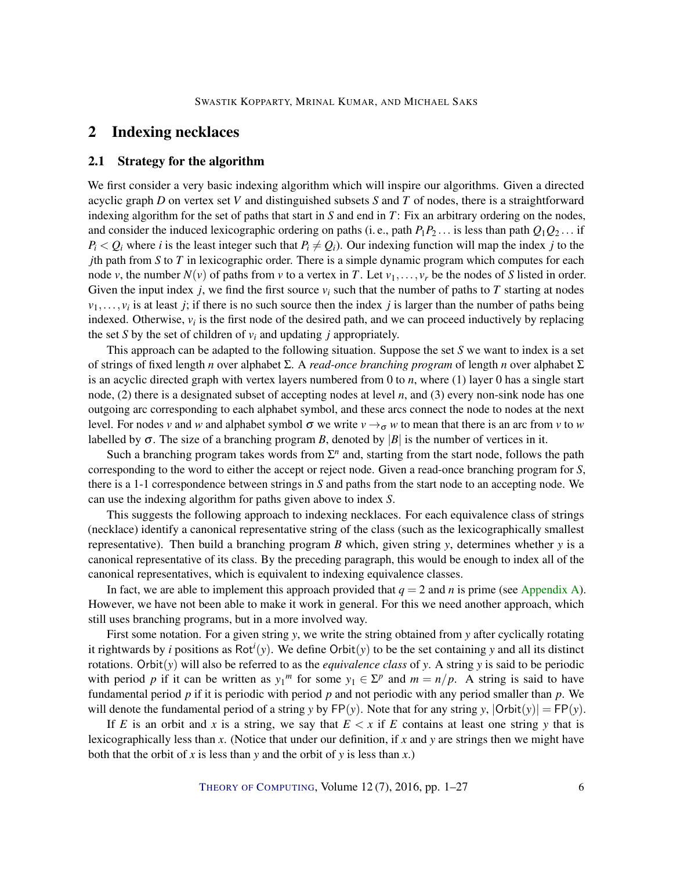# <span id="page-5-0"></span>2 Indexing necklaces

#### <span id="page-5-1"></span>2.1 Strategy for the algorithm

We first consider a very basic indexing algorithm which will inspire our algorithms. Given a directed acyclic graph *D* on vertex set *V* and distinguished subsets *S* and *T* of nodes, there is a straightforward indexing algorithm for the set of paths that start in *S* and end in *T*: Fix an arbitrary ordering on the nodes, and consider the induced lexicographic ordering on paths (i. e., path  $P_1P_2$ )... is less than path  $Q_1Q_2$ )... if  $P_i < Q_i$  where *i* is the least integer such that  $P_i \neq Q_i$ . Our indexing function will map the index *j* to the *j*th path from *S* to *T* in lexicographic order. There is a simple dynamic program which computes for each node *v*, the number  $N(v)$  of paths from *v* to a vertex in *T*. Let  $v_1, \ldots, v_r$  be the nodes of *S* listed in order. Given the input index *j*, we find the first source  $v_i$  such that the number of paths to *T* starting at nodes  $v_1, \ldots, v_i$  is at least *j*; if there is no such source then the index *j* is larger than the number of paths being indexed. Otherwise,  $v_i$  is the first node of the desired path, and we can proceed inductively by replacing the set *S* by the set of children of  $v_i$  and updating *j* appropriately.

This approach can be adapted to the following situation. Suppose the set *S* we want to index is a set of strings of fixed length *n* over alphabet Σ. A *read-once branching program* of length *n* over alphabet Σ is an acyclic directed graph with vertex layers numbered from 0 to *n*, where (1) layer 0 has a single start node, (2) there is a designated subset of accepting nodes at level *n*, and (3) every non-sink node has one outgoing arc corresponding to each alphabet symbol, and these arcs connect the node to nodes at the next level. For nodes *v* and *w* and alphabet symbol σ we write  $v \rightarrow σ$  *w* to mean that there is an arc from *v* to *w* labelled by  $\sigma$ . The size of a branching program *B*, denoted by  $|B|$  is the number of vertices in it.

Such a branching program takes words from  $\Sigma<sup>n</sup>$  and, starting from the start node, follows the path corresponding to the word to either the accept or reject node. Given a read-once branching program for *S*, there is a 1-1 correspondence between strings in *S* and paths from the start node to an accepting node. We can use the indexing algorithm for paths given above to index *S*.

This suggests the following approach to indexing necklaces. For each equivalence class of strings (necklace) identify a canonical representative string of the class (such as the lexicographically smallest representative). Then build a branching program *B* which, given string *y*, determines whether *y* is a canonical representative of its class. By the preceding paragraph, this would be enough to index all of the canonical representatives, which is equivalent to indexing equivalence classes.

In fact, we are able to implement this approach provided that  $q = 2$  and *n* is prime (see [Appendix](#page-19-0) [A\)](#page-19-0). However, we have not been able to make it work in general. For this we need another approach, which still uses branching programs, but in a more involved way.

First some notation. For a given string *y*, we write the string obtained from *y* after cyclically rotating it rightwards by *i* positions as Rot*<sup>i</sup>* (*y*). We define Orbit(*y*) to be the set containing *y* and all its distinct rotations. Orbit(*y*) will also be referred to as the *equivalence class* of *y*. A string *y* is said to be periodic with period *p* if it can be written as  $y_1^m$  for some  $y_1 \in \Sigma^p$  and  $m = n/p$ . A string is said to have fundamental period *p* if it is periodic with period *p* and not periodic with any period smaller than *p*. We will denote the fundamental period of a string *y* by  $FP(y)$ . Note that for any string *y*,  $|Orbit(y)| = FP(y)$ .

If *E* is an orbit and *x* is a string, we say that  $E \leq x$  if *E* contains at least one string *y* that is lexicographically less than *x*. (Notice that under our definition, if *x* and *y* are strings then we might have both that the orbit of *x* is less than *y* and the orbit of *y* is less than *x*.)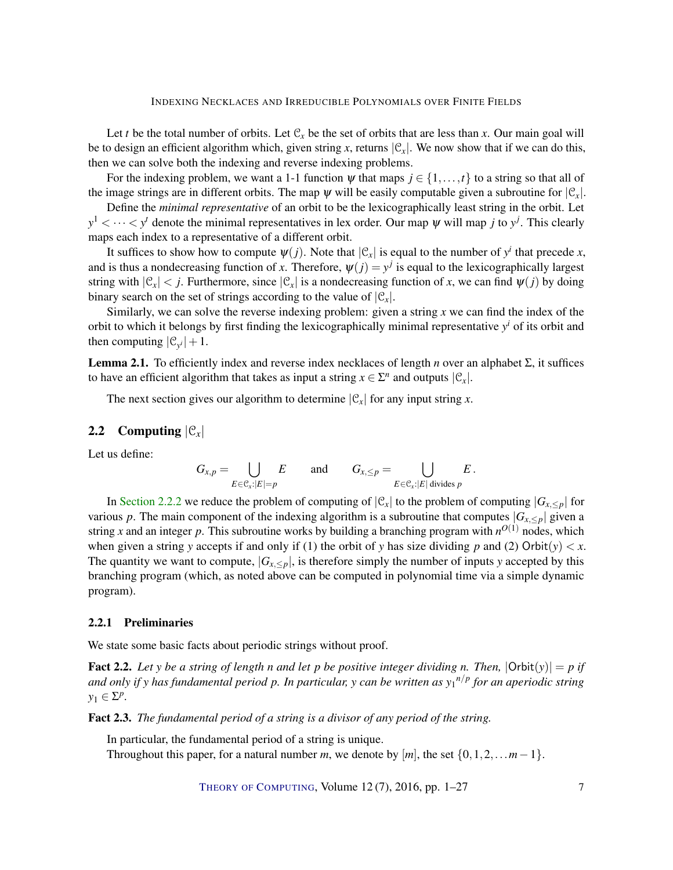Let *t* be the total number of orbits. Let  $C_x$  be the set of orbits that are less than *x*. Our main goal will be to design an efficient algorithm which, given string x, returns  $|\mathcal{C}_x|$ . We now show that if we can do this, then we can solve both the indexing and reverse indexing problems.

For the indexing problem, we want a 1-1 function  $\psi$  that maps  $j \in \{1, \ldots, t\}$  to a string so that all of the image strings are in different orbits. The map  $\psi$  will be easily computable given a subroutine for  $|\mathcal{C}_x|$ .

Define the *minimal representative* of an orbit to be the lexicographically least string in the orbit. Let  $y^1$  <  $\cdots$  <  $y^t$  denote the minimal representatives in lex order. Our map  $\psi$  will map *j* to  $y^j$ . This clearly maps each index to a representative of a different orbit.

It suffices to show how to compute  $\psi(j)$ . Note that  $|\mathcal{C}_x|$  is equal to the number of  $y^i$  that precede *x*, and is thus a nondecreasing function of *x*. Therefore,  $\psi(j) = y^j$  is equal to the lexicographically largest string with  $|\mathcal{C}_x| < j$ . Furthermore, since  $|\mathcal{C}_x|$  is a nondecreasing function of *x*, we can find  $\psi(j)$  by doing binary search on the set of strings according to the value of  $|\mathcal{C}_r|$ .

Similarly, we can solve the reverse indexing problem: given a string *x* we can find the index of the orbit to which it belongs by first finding the lexicographically minimal representative *y <sup>i</sup>* of its orbit and then computing  $|C_{y_i}|+1$ .

<span id="page-6-2"></span>Lemma 2.1. To efficiently index and reverse index necklaces of length *n* over an alphabet Σ, it suffices to have an efficient algorithm that takes as input a string  $x \in \Sigma^n$  and outputs  $|\mathcal{C}_x|$ .

The next section gives our algorithm to determine  $|\mathcal{C}_x|$  for any input string *x*.

#### 2.2 Computing  $|\mathcal{C}_x|$

Let us define:

$$
G_{x,p} = \bigcup_{E \in \mathcal{C}_x : |E|=p} E \quad \text{and} \quad G_{x,\leq p} = \bigcup_{E \in \mathcal{C}_x : |E| \text{ divides } p} E.
$$

In [Section](#page-7-0) [2.2.2](#page-7-0) we reduce the problem of computing of  $|\mathcal{C}_x|$  to the problem of computing  $|G_{x, \leq p}|$  for various *p*. The main component of the indexing algorithm is a subroutine that computes  $|G_{x, \leq p}|$  given a string *x* and an integer *p*. This subroutine works by building a branching program with  $n^{O(1)}$  nodes, which when given a string *y* accepts if and only if (1) the orbit of *y* has size dividing *p* and (2) Orbit(*y*)  $\lt x$ . The quantity we want to compute,  $|G_{x, \leq p}|$ , is therefore simply the number of inputs *y* accepted by this branching program (which, as noted above can be computed in polynomial time via a simple dynamic program).

#### 2.2.1 Preliminaries

We state some basic facts about periodic strings without proof.

<span id="page-6-0"></span>**Fact 2.2.** Let y be a string of length *n* and let p be positive integer dividing *n*. Then,  $|Orbit(y)| = p$  if *and only if y has fundamental period p. In particular, y can be written as y*<sup>1</sup> *n*/*p for an aperiodic string*  $y_1 \in \Sigma^p$ .

<span id="page-6-1"></span>Fact 2.3. *The fundamental period of a string is a divisor of any period of the string.*

In particular, the fundamental period of a string is unique.

Throughout this paper, for a natural number *m*, we denote by  $[m]$ , the set  $\{0, 1, 2, \ldots m-1\}$ .

THEORY OF C[OMPUTING](http://dx.doi.org/10.4086/toc), Volume 12(7), 2016, pp. 1–27 7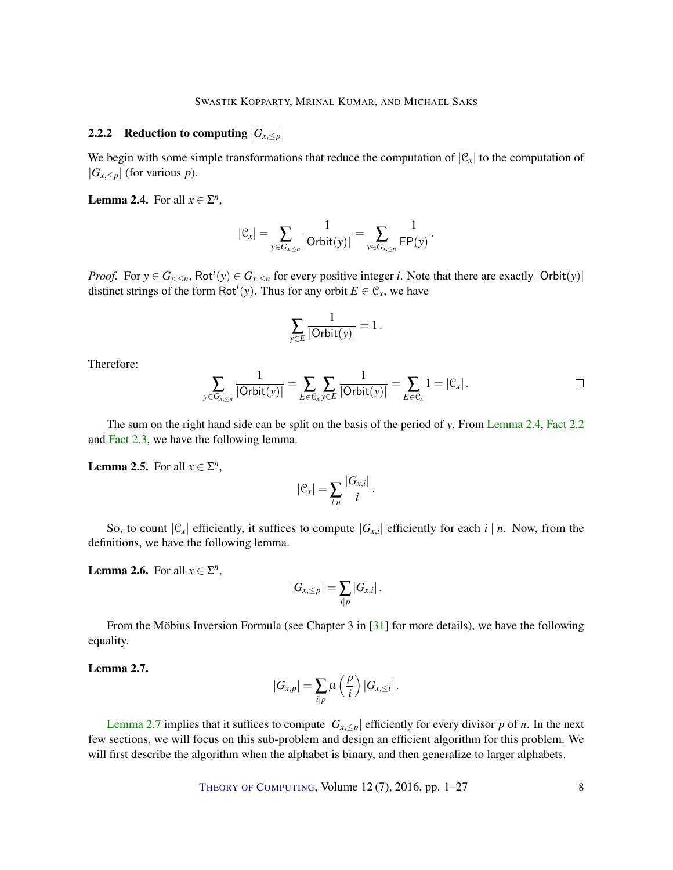## <span id="page-7-5"></span><span id="page-7-0"></span>2.2.2 Reduction to computing  $|G_{x,\leq p}|$

We begin with some simple transformations that reduce the computation of  $|\mathcal{C}_x|$  to the computation of  $|G_{x, \leq p}|$  (for various *p*).

<span id="page-7-1"></span>**Lemma 2.4.** For all  $x \in \Sigma^n$ ,

$$
|\mathfrak{C}_x| = \sum_{y \in G_{x,\leq n}} \frac{1}{|\mathsf{Orbit}(y)|} = \sum_{y \in G_{x,\leq n}} \frac{1}{\mathsf{FP}(y)}.
$$

*Proof.* For  $y \in G_{x, \le n}$ , Rot<sup>*i*</sup>( $y$ )  $\in G_{x, \le n}$  for every positive integer *i*. Note that there are exactly  $|\text{Orbit}(y)|$ distinct strings of the form  $Rot<sup>i</sup>(y)$ . Thus for any orbit  $E \in \mathcal{C}_x$ , we have

$$
\sum_{y\in E}\frac{1}{|\mathsf{Orbit}(y)|}=1\,.
$$

Therefore:

$$
\sum_{y \in G_{x,\leq n}} \frac{1}{|\mathsf{Orbit}(y)|} = \sum_{E \in \mathcal{C}_x} \sum_{y \in E} \frac{1}{|\mathsf{Orbit}(y)|} = \sum_{E \in \mathcal{C}_x} 1 = |\mathcal{C}_x|.
$$

The sum on the right hand side can be split on the basis of the period of *y*. From [Lemma](#page-7-1) [2.4,](#page-7-1) [Fact](#page-6-0) [2.2](#page-6-0) and [Fact](#page-6-1) [2.3,](#page-6-1) we have the following lemma.

# <span id="page-7-3"></span>**Lemma 2.5.** For all  $x \in \Sigma^n$ ,

$$
|\mathcal{C}_x|=\sum_{i|n}\frac{|G_{x,i}|}{i}.
$$

So, to count  $|\mathcal{C}_x|$  efficiently, it suffices to compute  $|G_{x,i}|$  efficiently for each *i* | *n*. Now, from the definitions, we have the following lemma.

# <span id="page-7-4"></span>**Lemma 2.6.** For all  $x \in \Sigma^n$ ,

$$
|G_{x,\leq p}|=\sum_{i|p}|G_{x,i}|.
$$

From the Möbius Inversion Formula (see Chapter 3 in [\[31\]](#page-25-7) for more details), we have the following equality.

#### <span id="page-7-2"></span>Lemma 2.7.

$$
|G_{x,p}|=\sum_{i|p}\mu\left(\frac{p}{i}\right)|G_{x,\leq i}|.
$$

[Lemma](#page-7-2) [2.7](#page-7-2) implies that it suffices to compute  $|G_{x, \leq p}|$  efficiently for every divisor p of n. In the next few sections, we will focus on this sub-problem and design an efficient algorithm for this problem. We will first describe the algorithm when the alphabet is binary, and then generalize to larger alphabets.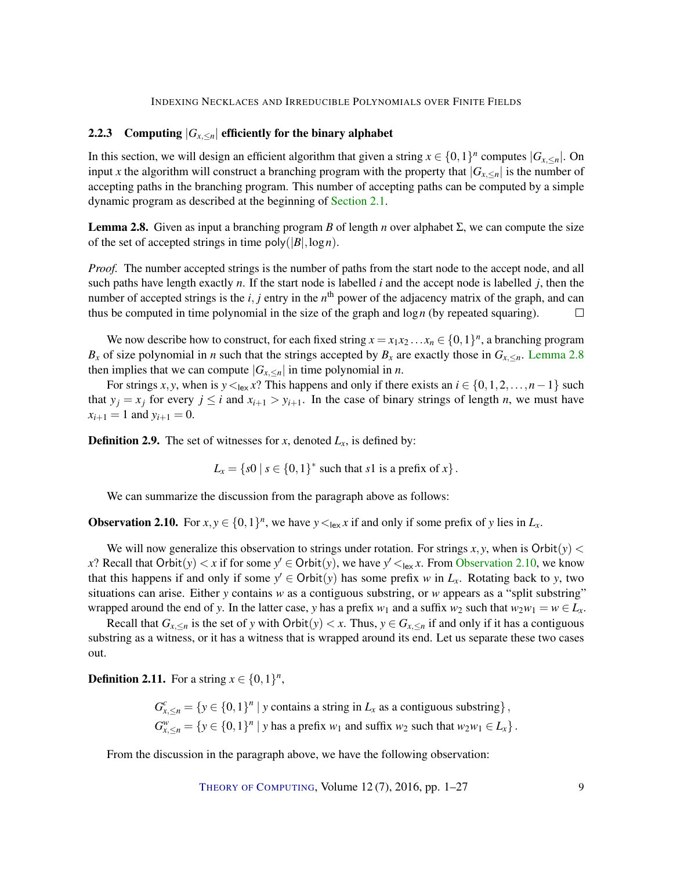#### <span id="page-8-2"></span>2.2.3 Computing  $|G_{x,\le n}|$  efficiently for the binary alphabet

In this section, we will design an efficient algorithm that given a string  $x \in \{0,1\}^n$  computes  $|G_{x,\le n}|$ . On input *x* the algorithm will construct a branching program with the property that  $|G_{x, \le n}|$  is the number of accepting paths in the branching program. This number of accepting paths can be computed by a simple dynamic program as described at the beginning of [Section](#page-5-1) [2.1.](#page-5-1)

<span id="page-8-0"></span>**Lemma 2.8.** Given as input a branching program *B* of length *n* over alphabet Σ, we can compute the size of the set of accepted strings in time  $poly(|B|, \log n)$ .

*Proof.* The number accepted strings is the number of paths from the start node to the accept node, and all such paths have length exactly *n*. If the start node is labelled *i* and the accept node is labelled *j*, then the number of accepted strings is the  $i, j$  entry in the  $n^{\text{th}}$  power of the adjacency matrix of the graph, and can thus be computed in time polynomial in the size of the graph and log*n* (by repeated squaring).  $\Box$ 

We now describe how to construct, for each fixed string  $x = x_1x_2...x_n \in \{0,1\}^n$ , a branching program *B<sub>x</sub>* of size polynomial in *n* such that the strings accepted by *B<sub>x</sub>* are exactly those in  $G_{x, \leq n}$ . [Lemma](#page-8-0) [2.8](#page-8-0) then implies that we can compute  $|G_{x,\le n}|$  in time polynomial in *n*.

For strings *x*, *y*, when is  $y \leq_{\text{lex}} x$ ? This happens and only if there exists an  $i \in \{0, 1, 2, ..., n-1\}$  such that  $y_j = x_j$  for every  $j \le i$  and  $x_{i+1} > y_{i+1}$ . In the case of binary strings of length *n*, we must have  $x_{i+1} = 1$  and  $y_{i+1} = 0$ .

**Definition 2.9.** The set of witnesses for *x*, denoted  $L_x$ , is defined by:

$$
L_x = \{s0 \mid s \in \{0,1\}^* \text{ such that } s1 \text{ is a prefix of } x\}.
$$

We can summarize the discussion from the paragraph above as follows:

<span id="page-8-1"></span>**Observation 2.10.** For  $x, y \in \{0, 1\}^n$ , we have  $y \leq_{\text{lex}} x$  if and only if some prefix of *y* lies in  $L_x$ .

We will now generalize this observation to strings under rotation. For strings  $x, y$ , when is Orbit $(y)$  < *x*? Recall that  $Orbit(y) < x$  if for some  $y' \in Orbit(y)$ , we have  $y' <_{lex} x$ . From [Observation](#page-8-1) [2.10,](#page-8-1) we know that this happens if and only if some  $y' \in \text{Orbit}(y)$  has some prefix *w* in  $L_x$ . Rotating back to *y*, two situations can arise. Either *y* contains *w* as a contiguous substring, or *w* appears as a "split substring" wrapped around the end of *y*. In the latter case, *y* has a prefix  $w_1$  and a suffix  $w_2$  such that  $w_2w_1 = w \in L_x$ .

Recall that  $G_{x, \le n}$  is the set of y with Orbit(y)  $\lt x$ . Thus,  $y \in G_{x, \le n}$  if and only if it has a contiguous substring as a witness, or it has a witness that is wrapped around its end. Let us separate these two cases out.

**Definition 2.11.** For a string  $x \in \{0, 1\}^n$ ,

 $G_{x,\leq n}^c = \{y \in \{0,1\}^n \mid y \text{ contains a string in } L_x \text{ as a contiguous substring}\},$  $G_{x,\leq n}^w = \{y \in \{0,1\}^n \mid y \text{ has a prefix } w_1 \text{ and suffix } w_2 \text{ such that } w_2w_1 \in L_x\}.$ 

From the discussion in the paragraph above, we have the following observation:

THEORY OF C[OMPUTING](http://dx.doi.org/10.4086/toc), Volume  $12(7)$ ,  $2016$ , pp.  $1-27$  9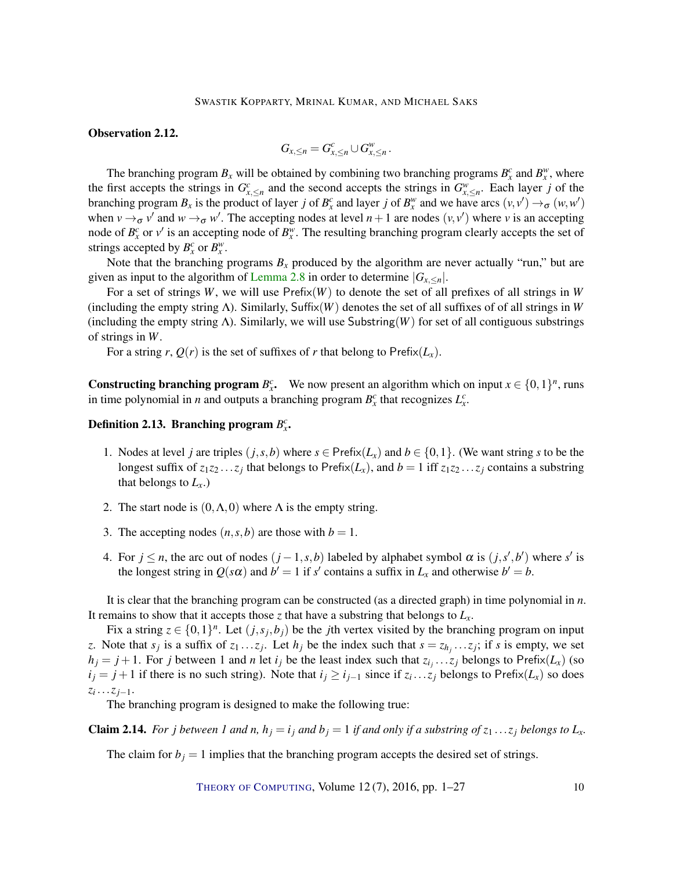#### Observation 2.12.

$$
G_{x,\leq n}=G_{x,\leq n}^c\cup G_{x,\leq n}^w.
$$

The branching program  $B_x$  will be obtained by combining two branching programs  $B_x^c$  and  $B_x^w$ , where the first accepts the strings in  $G_{x,\leq n}^c$  and the second accepts the strings in  $G_{x,\leq n}^w$ . Each layer *j* of the branching program  $B_x$  is the product of layer *j* of  $B_x^c$  and layer *j* of  $B_x^w$  and we have arcs  $(v, v') \to \sigma (w, w')$ when  $v \rightarrow_{\sigma} v'$  and  $w \rightarrow_{\sigma} w'$ . The accepting nodes at level  $n+1$  are nodes  $(v, v')$  where *v* is an accepting node of  $B_x^c$  or  $v'$  is an accepting node of  $B_x^w$ . The resulting branching program clearly accepts the set of strings accepted by  $B_x^c$  or  $B_x^w$ .

Note that the branching programs  $B_x$  produced by the algorithm are never actually "run," but are given as input to the algorithm of [Lemma](#page-8-0) [2.8](#page-8-0) in order to determine  $|G_{x, \le n}|$ .

For a set of strings *W*, we will use  $Prefix(W)$  to denote the set of all prefixes of all strings in *W* (including the empty string Λ). Similarly, Suffix(*W*) denotes the set of all suffixes of of all strings in *W* (including the empty string Λ). Similarly, we will use Substring(*W*) for set of all contiguous substrings of strings in *W*.

For a string *r*,  $Q(r)$  is the set of suffixes of *r* that belong to Prefix $(L_x)$ .

**Constructing branching program**  $B_x^c$ . We now present an algorithm which on input  $x \in \{0,1\}^n$ , runs in time polynomial in *n* and outputs a branching program  $B_x^c$  that recognizes  $L_x^c$ .

# Definition 2.13. Branching program  $B_x^c$ .

- 1. Nodes at level *j* are triples  $(j, s, b)$  where  $s \in \text{Prefix}(L_x)$  and  $b \in \{0, 1\}$ . (We want string *s* to be the longest suffix of  $z_1z_2 \ldots z_j$  that belongs to Prefix( $L_x$ ), and  $b = 1$  iff  $z_1z_2 \ldots z_j$  contains a substring that belongs to  $L_x$ .)
- 2. The start node is  $(0, \Lambda, 0)$  where  $\Lambda$  is the empty string.
- 3. The accepting nodes  $(n, s, b)$  are those with  $b = 1$ .
- 4. For  $j \le n$ , the arc out of nodes  $(j-1, s, b)$  labeled by alphabet symbol  $\alpha$  is  $(j, s', b')$  where  $s'$  is the longest string in  $Q(s\alpha)$  and  $b' = 1$  if *s'* contains a suffix in  $L_x$  and otherwise  $b' = b$ .

It is clear that the branching program can be constructed (as a directed graph) in time polynomial in *n*. It remains to show that it accepts those  $\zeta$  that have a substring that belongs to  $L<sub>x</sub>$ .

Fix a string  $z \in \{0,1\}^n$ . Let  $(j, s_j, b_j)$  be the *j*th vertex visited by the branching program on input *z*. Note that  $s_j$  is a suffix of  $z_1 \ldots z_j$ . Let  $h_j$  be the index such that  $s = z_{h_j} \ldots z_j$ ; if *s* is empty, we set  $h_j = j + 1$ . For *j* between 1 and *n* let *i<sub>j</sub>* be the least index such that  $z_{i_j} \dots z_j$  belongs to Prefix( $L_x$ ) (so *i*<sub>*j*</sub> = *j* + 1 if there is no such string). Note that *i*<sub>*j*</sub> ≥ *i*<sub>*j*−1</sub> since if *z*<sub>*i*</sub>...*z*<sub>*j*</sub> belongs to Prefix(*L<sub>x</sub>*) so does *zi* ...*zj*−1.

The branching program is designed to make the following true:

**Claim 2.14.** For j between 1 and n,  $h_i = i_j$  and  $b_i = 1$  if and only if a substring of  $z_1 \dots z_j$  belongs to  $L_x$ .

The claim for  $b_j = 1$  implies that the branching program accepts the desired set of strings.

THEORY OF C[OMPUTING](http://dx.doi.org/10.4086/toc), Volume  $12(7)$ ,  $2016$ , pp.  $1-27$  10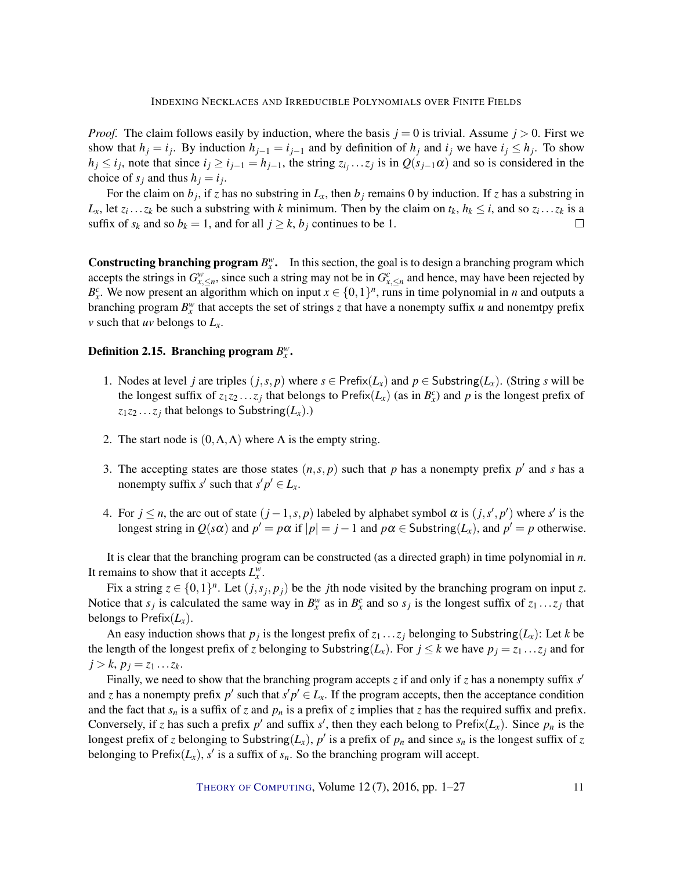*Proof.* The claim follows easily by induction, where the basis  $j = 0$  is trivial. Assume  $j > 0$ . First we show that  $h_j = i_j$ . By induction  $h_{j-1} = i_{j-1}$  and by definition of  $h_j$  and  $i_j$  we have  $i_j \leq h_j$ . To show  $h_j \le i_j$ , note that since  $i_j \ge i_{j-1} = h_{j-1}$ , the string  $z_{i_j} \dots z_j$  is in  $Q(s_{j-1}\alpha)$  and so is considered in the choice of  $s_j$  and thus  $h_j = i_j$ .

For the claim on  $b_j$ , if *z* has no substring in  $L_x$ , then  $b_j$  remains 0 by induction. If *z* has a substring in *L*<sub>x</sub>, let  $z_i \dots z_k$  be such a substring with *k* minimum. Then by the claim on  $t_k$ ,  $h_k \le i$ , and so  $z_i \dots z_k$  is a suffix of  $s_k$  and so  $b_k = 1$ , and for all  $j \geq k$ ,  $b_j$  continues to be 1.  $\Box$ 

**Constructing branching program**  $B_x^w$ **.** In this section, the goal is to design a branching program which accepts the strings in  $G_{x,\leq n}^w$ , since such a string may not be in  $G_{x,\leq n}^c$  and hence, may have been rejected by  $B_x^c$ . We now present an algorithm which on input  $x \in \{0,1\}^n$ , runs in time polynomial in *n* and outputs a branching program  $B_x^w$  that accepts the set of strings *z* that have a nonempty suffix *u* and nonemtpy prefix *v* such that *uv* belongs to *Lx*.

# Definition 2.15. Branching program  $B_x^w$ .

- 1. Nodes at level *j* are triples  $(j, s, p)$  where  $s \in \text{Prefix}(L_x)$  and  $p \in \text{Substring}(L_x)$ . (String *s* will be the longest suffix of  $z_1z_2...z_j$  that belongs to Prefix $(L_x)$  (as in  $B_x^c$ ) and p is the longest prefix of  $z_1z_2 \ldots z_j$  that belongs to Substring( $L_x$ ).)
- 2. The start node is  $(0, \Lambda, \Lambda)$  where  $\Lambda$  is the empty string.
- 3. The accepting states are those states  $(n, s, p)$  such that *p* has a nonempty prefix  $p'$  and *s* has a nonempty suffix *s'* such that  $s'p' \in L_x$ .
- 4. For  $j \leq n$ , the arc out of state  $(j-1, s, p)$  labeled by alphabet symbol  $\alpha$  is  $(j, s', p')$  where  $s'$  is the longest string in  $Q(s\alpha)$  and  $p' = p\alpha$  if  $|p| = j - 1$  and  $p\alpha \in$  Substring( $L_x$ ), and  $p' = p$  otherwise.

It is clear that the branching program can be constructed (as a directed graph) in time polynomial in *n*. It remains to show that it accepts  $L_x^w$ .

Fix a string  $z \in \{0,1\}^n$ . Let  $(j, s_j, p_j)$  be the *j*th node visited by the branching program on input *z*. Notice that  $s_j$  is calculated the same way in  $B_x^w$  as in  $B_x^c$  and so  $s_j$  is the longest suffix of  $z_1 \ldots z_j$  that belongs to Prefix $(L_x)$ .

An easy induction shows that  $p_j$  is the longest prefix of  $z_1 \ldots z_j$  belonging to Substring( $L_x$ ): Let  $k$  be the length of the longest prefix of *z* belonging to Substring( $L_x$ ). For  $j \leq k$  we have  $p_j = z_1 \dots z_j$  and for  $j > k$ ,  $p_j = z_1 ... z_k$ .

Finally, we need to show that the branching program accepts *z* if and only if *z* has a nonempty suffix *s'* and *z* has a nonempty prefix  $p'$  such that  $s'p' \in L_x$ . If the program accepts, then the acceptance condition and the fact that  $s_n$  is a suffix of *z* and  $p_n$  is a prefix of *z* implies that *z* has the required suffix and prefix. Conversely, if *z* has such a prefix  $p'$  and suffix  $s'$ , then they each belong to Prefix( $L_x$ ). Since  $p_n$  is the longest prefix of *z* belonging to Substring( $L_x$ ),  $p'$  is a prefix of  $p_n$  and since  $s_n$  is the longest suffix of *z* belonging to Prefix $(L_x)$ ,  $s'$  is a suffix of  $s_n$ . So the branching program will accept.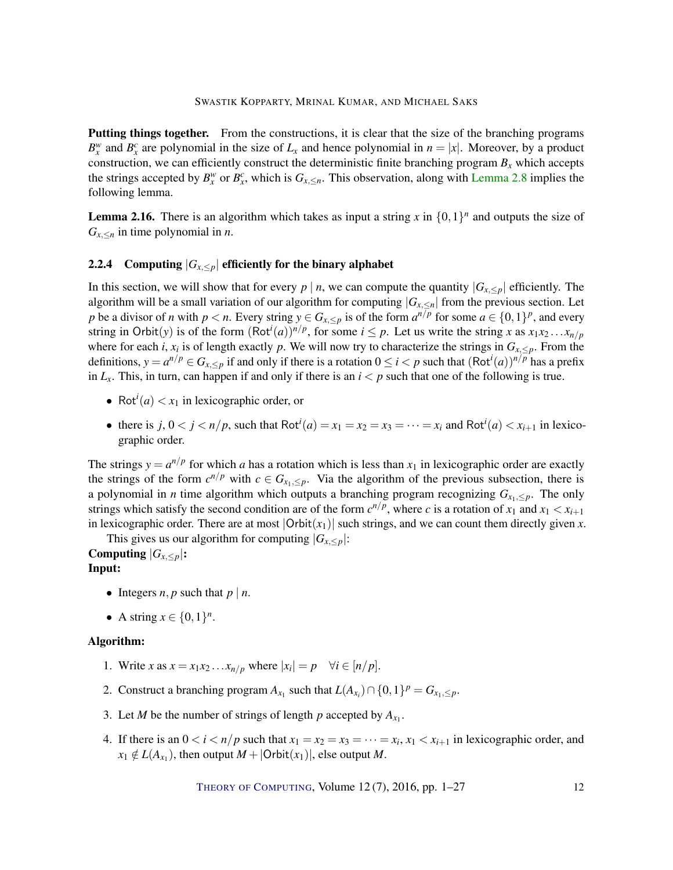Putting things together. From the constructions, it is clear that the size of the branching programs  $B_x^w$  and  $B_x^c$  are polynomial in the size of  $L_x$  and hence polynomial in  $n = |x|$ . Moreover, by a product construction, we can efficiently construct the deterministic finite branching program  $B<sub>x</sub>$  which accepts the strings accepted by  $B_x^w$  or  $B_x^c$ , which is  $G_{x, \le n}$ . This observation, along with [Lemma](#page-8-0) [2.8](#page-8-0) implies the following lemma.

<span id="page-11-0"></span>**Lemma 2.16.** There is an algorithm which takes as input a string x in  $\{0,1\}^n$  and outputs the size of  $G_{x, \leq n}$  in time polynomial in *n*.

## 2.2.4 Computing  $|G_{x, \leq p}|$  efficiently for the binary alphabet

In this section, we will show that for every  $p \mid n$ , we can compute the quantity  $|G_{x, \leq p}|$  efficiently. The algorithm will be a small variation of our algorithm for computing  $|G_{x, \le n}|$  from the previous section. Let *p* be a divisor of *n* with  $p < n$ . Every string  $y \in G_{x, \leq p}$  is of the form  $a^{n/p}$  for some  $a \in \{0, 1\}^p$ , and every string in Orbit(y) is of the form  $(Rot<sup>i</sup>(a))^{n/p}$ , for some  $i \leq p$ . Let us write the string *x* as  $x_1x_2...x_{n/p}$ where for each *i*,  $x_i$  is of length exactly *p*. We will now try to characterize the strings in  $G_{x, \leq p}$ . From the definitions,  $y = a^{n/p} \in G_{x, \leq p}$  if and only if there is a rotation  $0 \leq i < p$  such that  $(\text{Rot}^i(a))^{n/p}$  has a prefix in  $L_x$ . This, in turn, can happen if and only if there is an  $i < p$  such that one of the following is true.

- Rot<sup>*i*</sup>(*a*)  $\lt x_1$  in lexicographic order, or
- there is  $j, 0 < j < n/p$ , such that Rot<sup>*i*</sup>(*a*) =  $x_1 = x_2 = x_3 = \cdots = x_i$  and Rot<sup>*i*</sup>(*a*) <  $x_{i+1}$  in lexicographic order.

The strings  $y = a^{n/p}$  for which *a* has a rotation which is less than  $x_1$  in lexicographic order are exactly the strings of the form  $c^{n/p}$  with  $c \in G_{x_1, \leq p}$ . Via the algorithm of the previous subsection, there is a polynomial in *n* time algorithm which outputs a branching program recognizing  $G_{x_1, \leq p}$ . The only strings which satisfy the second condition are of the form  $c^{n/p}$ , where *c* is a rotation of  $x_1$  and  $x_1 < x_{i+1}$ in lexicographic order. There are at most  $|Orbit(x_1)|$  such strings, and we can count them directly given *x*.

This gives us our algorithm for computing  $|G_{x, \leq p}|$ :

Computing  $|G_{X,\leq p}|$ : Input:

- Integers  $n, p$  such that  $p \mid n$ .
- A string  $x \in \{0, 1\}^n$ .

#### Algorithm:

- 1. Write *x* as  $x = x_1x_2...x_{n/p}$  where  $|x_i| = p \quad \forall i \in [n/p].$
- 2. Construct a branching program  $A_{x_1}$  such that  $L(A_{x_i}) \cap \{0,1\}^p = G_{x_1, \leq p}$ .
- 3. Let *M* be the number of strings of length *p* accepted by  $A_{x_1}$ .
- 4. If there is an  $0 < i < n/p$  such that  $x_1 = x_2 = x_3 = \cdots = x_i$ ,  $x_1 < x_{i+1}$  in lexicographic order, and  $x_1 \notin L(A_{x_1})$ , then output  $M + |\text{Orbit}(x_1)|$ , else output *M*.

THEORY OF C[OMPUTING](http://dx.doi.org/10.4086/toc), Volume 12 (7), 2016, pp. 1–27 12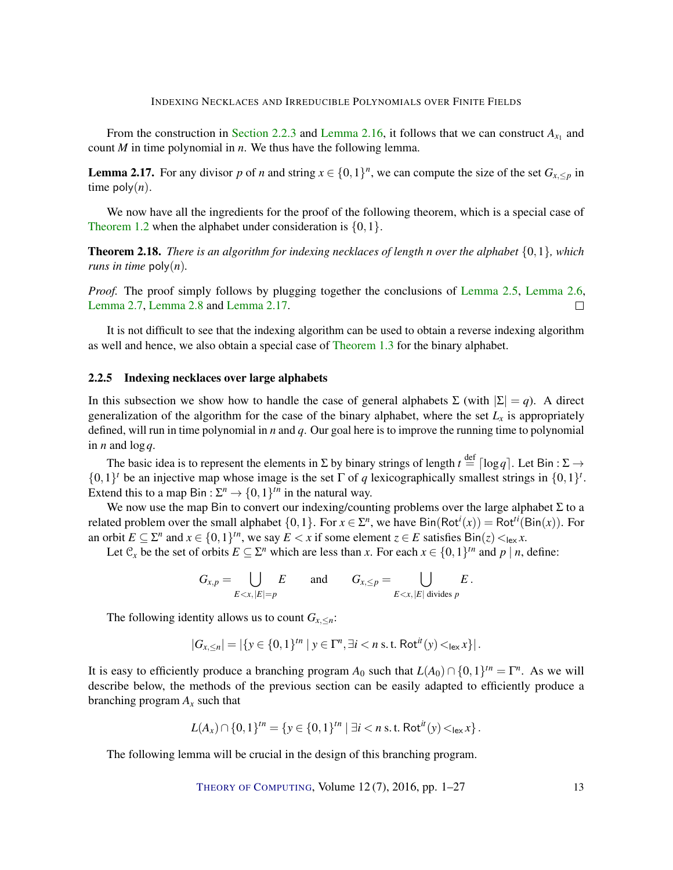From the construction in [Section](#page-8-2) [2.2.3](#page-8-2) and [Lemma](#page-11-0) [2.16,](#page-11-0) it follows that we can construct  $A_{x_1}$  and count *M* in time polynomial in *n*. We thus have the following lemma.

<span id="page-12-0"></span>**Lemma 2.17.** For any divisor p of *n* and string  $x \in \{0,1\}^n$ , we can compute the size of the set  $G_{x, \leq p}$  in time  $poly(n)$ .

We now have all the ingredients for the proof of the following theorem, which is a special case of [Theorem](#page-3-0) [1.2](#page-3-0) when the alphabet under consideration is  $\{0,1\}$ .

Theorem 2.18. *There is an algorithm for indexing necklaces of length n over the alphabet* {0,1}*, which runs in time*  $poly(n)$ *.* 

*Proof.* The proof simply follows by plugging together the conclusions of [Lemma](#page-7-4) [2.5,](#page-7-3) Lemma [2.6,](#page-7-4) [Lemma](#page-7-2) [2.7,](#page-7-2) [Lemma](#page-8-0) [2.8](#page-8-0) and [Lemma](#page-12-0) [2.17.](#page-12-0)  $\Box$ 

It is not difficult to see that the indexing algorithm can be used to obtain a reverse indexing algorithm as well and hence, we also obtain a special case of [Theorem](#page-3-1) [1.3](#page-3-1) for the binary alphabet.

#### 2.2.5 Indexing necklaces over large alphabets

In this subsection we show how to handle the case of general alphabets  $\Sigma$  (with  $|\Sigma| = q$ ). A direct generalization of the algorithm for the case of the binary alphabet, where the set  $L<sub>x</sub>$  is appropriately defined, will run in time polynomial in *n* and *q*. Our goal here is to improve the running time to polynomial in *n* and log*q*.

The basic idea is to represent the elements in  $\Sigma$  by binary strings of length  $t \stackrel{\text{def}}{=} \lceil \log q \rceil$ . Let Bin :  $\Sigma \to$  $\{0,1\}^t$  be an injective map whose image is the set  $\Gamma$  of *q* lexicographically smallest strings in  $\{0,1\}^t$ . Extend this to a map Bin :  $\Sigma^n \to \{0,1\}^{tn}$  in the natural way.

We now use the map Bin to convert our indexing/counting problems over the large alphabet  $\Sigma$  to a related problem over the small alphabet  $\{0,1\}$ . For  $x \in \Sigma^n$ , we have  $\textsf{Bin}(\textsf{Rot}^i(x)) = \textsf{Rot}^{ti}(\textsf{Bin}(x))$ . For an orbit  $E \subseteq \Sigma^n$  and  $x \in \{0,1\}^{\text{tn}}$ , we say  $E < x$  if some element  $z \in E$  satisfies  $\text{Bin}(z) <_{\text{lex}} x$ .

Let  $\mathcal{C}_x$  be the set of orbits  $E \subseteq \Sigma^n$  which are less than *x*. For each  $x \in \{0,1\}^{\text{tn}}$  and  $p \mid n$ , define:

$$
G_{x,p} = \bigcup_{E < x, |E|=p} E \qquad \text{and} \qquad G_{x,\leq p} = \bigcup_{E < x, |E| \text{ divides } p} E.
$$

The following identity allows us to count  $G_{x, \leq n}$ :

$$
|G_{x,\leq n}| = |\{y \in \{0,1\}^{tn} \mid y \in \Gamma^n, \exists i < n \text{ s.t. Rot}^{it}(y) <_{\text{lex}} x\}|.
$$

It is easy to efficiently produce a branching program  $A_0$  such that  $L(A_0) \cap \{0,1\}^{\text{tn}} = \Gamma^n$ . As we will describe below, the methods of the previous section can be easily adapted to efficiently produce a branching program  $A_x$  such that

$$
L(A_x) \cap \{0,1\}^{tn} = \{y \in \{0,1\}^{tn} \mid \exists i < n \text{ s.t. Rot}^{it}(y) <_{\text{lex}} x\}.
$$

The following lemma will be crucial in the design of this branching program.

THEORY OF C[OMPUTING](http://dx.doi.org/10.4086/toc), Volume 12(7), 2016, pp. 1–27 13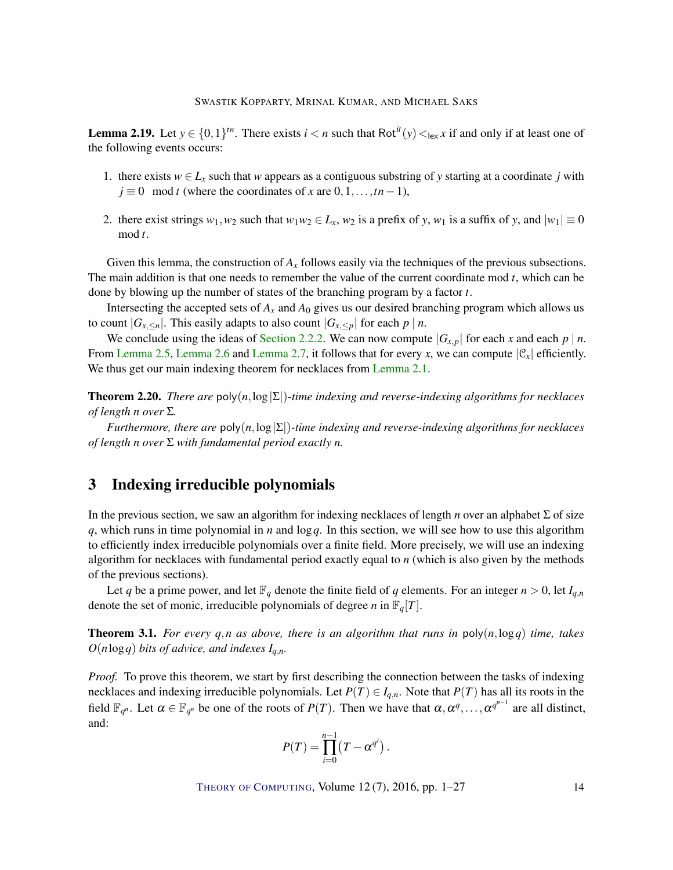**Lemma 2.19.** Let  $y \in \{0,1\}^{\text{tn}}$ . There exists  $i < n$  such that Rot<sup>it</sup> $(y) <_{\text{lex}} x$  if and only if at least one of the following events occurs:

- 1. there exists  $w \in L_x$  such that *w* appears as a contiguous substring of *y* starting at a coordinate *j* with  $j \equiv 0 \mod t$  (where the coordinates of *x* are  $0, 1, \ldots, t n - 1$ ),
- 2. there exist strings  $w_1, w_2$  such that  $w_1w_2 \in L_x$ ,  $w_2$  is a prefix of *y*,  $w_1$  is a suffix of *y*, and  $|w_1| \equiv 0$ mod *t*.

Given this lemma, the construction of  $A<sub>x</sub>$  follows easily via the techniques of the previous subsections. The main addition is that one needs to remember the value of the current coordinate mod *t*, which can be done by blowing up the number of states of the branching program by a factor *t*.

Intersecting the accepted sets of  $A_x$  and  $A_0$  gives us our desired branching program which allows us to count  $|G_{x, \le n}|$ . This easily adapts to also count  $|G_{x, \le n}|$  for each  $p \nmid n$ .

We conclude using the ideas of [Section](#page-7-0) [2.2.2.](#page-7-0) We can now compute  $|G_{X,p}|$  for each *x* and each  $p \mid n$ . From [Lemma](#page-7-2) [2.5,](#page-7-3) Lemma [2.6](#page-7-4) and Lemma [2.7,](#page-7-2) it follows that for every *x*, we can compute  $|\mathcal{C}_x|$  efficiently. We thus get our main indexing theorem for necklaces from [Lemma](#page-6-2) [2.1.](#page-6-2)

<span id="page-13-1"></span>Theorem 2.20. *There are* poly(*n*,log|Σ|)*-time indexing and reverse-indexing algorithms for necklaces of length n over* Σ*.*

*Furthermore, there are* poly(*n*,log|Σ|)*-time indexing and reverse-indexing algorithms for necklaces of length n over* Σ *with fundamental period exactly n.*

# <span id="page-13-0"></span>3 Indexing irreducible polynomials

In the previous section, we saw an algorithm for indexing necklaces of length *n* over an alphabet Σ of size *q*, which runs in time polynomial in *n* and log*q*. In this section, we will see how to use this algorithm to efficiently index irreducible polynomials over a finite field. More precisely, we will use an indexing algorithm for necklaces with fundamental period exactly equal to *n* (which is also given by the methods of the previous sections).

Let *q* be a prime power, and let  $\mathbb{F}_q$  denote the finite field of *q* elements. For an integer  $n > 0$ , let  $I_{q,n}$ denote the set of monic, irreducible polynomials of degree *n* in  $\mathbb{F}_q[T]$ .

Theorem 3.1. *For every q*,*n as above, there is an algorithm that runs in* poly(*n*,log*q*) *time, takes O*(*n*log*q*) *bits of advice, and indexes Iq*,*n.*

*Proof.* To prove this theorem, we start by first describing the connection between the tasks of indexing necklaces and indexing irreducible polynomials. Let  $P(T) \in I_{q,n}$ . Note that  $P(T)$  has all its roots in the field  $\mathbb{F}_{q^n}$ . Let  $\alpha \in \mathbb{F}_{q^n}$  be one of the roots of  $P(T)$ . Then we have that  $\alpha, \alpha^q, \ldots, \alpha^{q^{n-1}}$  are all distinct, and:

$$
P(T) = \prod_{i=0}^{n-1} (T - \alpha^{q^i}).
$$

THEORY OF C[OMPUTING](http://dx.doi.org/10.4086/toc), Volume 12(7), 2016, pp. 1–27 14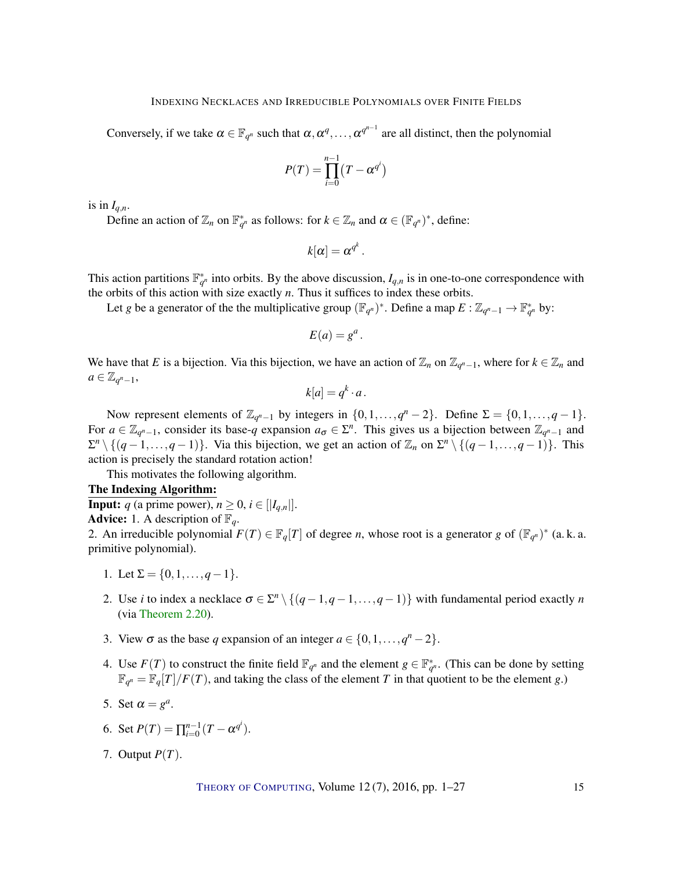Conversely, if we take  $\alpha \in \mathbb{F}_{q^n}$  such that  $\alpha, \alpha^q, \dots, \alpha^{q^{n-1}}$  are all distinct, then the polynomial

$$
P(T) = \prod_{i=0}^{n-1} (T - \alpha^{q^i})
$$

is in  $I_{a,n}$ .

Define an action of  $\mathbb{Z}_n$  on  $\mathbb{F}_{q^n}^*$  as follows: for  $k \in \mathbb{Z}_n$  and  $\alpha \in (\mathbb{F}_{q^n})^*$ , define:

$$
k[\alpha]=\alpha^{q^k}.
$$

This action partitions  $\mathbb{F}_{q^n}^*$  into orbits. By the above discussion,  $I_{q,n}$  is in one-to-one correspondence with the orbits of this action with size exactly *n*. Thus it suffices to index these orbits.

Let *g* be a generator of the the multiplicative group  $(\mathbb{F}_{q^n})^*$ . Define a map  $E: \mathbb{Z}_{q^n-1} \to \mathbb{F}_{q^n}^*$  by:

$$
E(a)=g^a.
$$

We have that *E* is a bijection. Via this bijection, we have an action of  $\mathbb{Z}_n$  on  $\mathbb{Z}_{q^n-1}$ , where for  $k \in \mathbb{Z}_n$  and  $a \in \mathbb{Z}_{q^n-1}$ ,

$$
k[a] = q^k \cdot a.
$$

Now represent elements of  $\mathbb{Z}_{q^n-1}$  by integers in  $\{0,1,\ldots,q^n-2\}$ . Define  $\Sigma = \{0,1,\ldots,q-1\}$ . For  $a \in \mathbb{Z}_{q^n-1}$ , consider its base- $q$  expansion  $a_{\sigma} \in \Sigma^n$ . This gives us a bijection between  $\mathbb{Z}_{q^n-1}$  and  $\Sigma^n \setminus \{(q-1,\ldots,q-1)\}\.$  Via this bijection, we get an action of  $\mathbb{Z}_n$  on  $\Sigma^n \setminus \{(q-1,\ldots,q-1)\}\.$  This action is precisely the standard rotation action!

This motivates the following algorithm.

## The Indexing Algorithm:

**Input:** *q* (a prime power),  $n \geq 0$ ,  $i \in [[I_{q,n}]]$ .

**Advice:** 1. A description of  $\mathbb{F}_q$ .

2. An irreducible polynomial  $F(T) \in \mathbb{F}_q[T]$  of degree *n*, whose root is a generator *g* of  $(\mathbb{F}_{q^n})^*$  (a.k. a. primitive polynomial).

- 1. Let  $\Sigma = \{0, 1, \ldots, q-1\}.$
- 2. Use *i* to index a necklace  $\sigma \in \Sigma^n \setminus \{(q-1,q-1,\ldots,q-1)\}$  with fundamental period exactly *n* (via [Theorem](#page-13-1) [2.20\)](#page-13-1).
- 3. View  $\sigma$  as the base *q* expansion of an integer  $a \in \{0, 1, \ldots, q^n 2\}$ .
- 4. Use  $F(T)$  to construct the finite field  $\mathbb{F}_{q^n}$  and the element  $g \in \mathbb{F}_{q^n}^*$ . (This can be done by setting  $\mathbb{F}_{q^n} = \mathbb{F}_q[T]/F(T)$ , and taking the class of the element *T* in that quotient to be the element *g*.)
- 5. Set  $\alpha = g^a$ .
- 6. Set  $P(T) = \prod_{i=0}^{n-1} (T \alpha^{q^i}).$
- 7. Output *P*(*T*).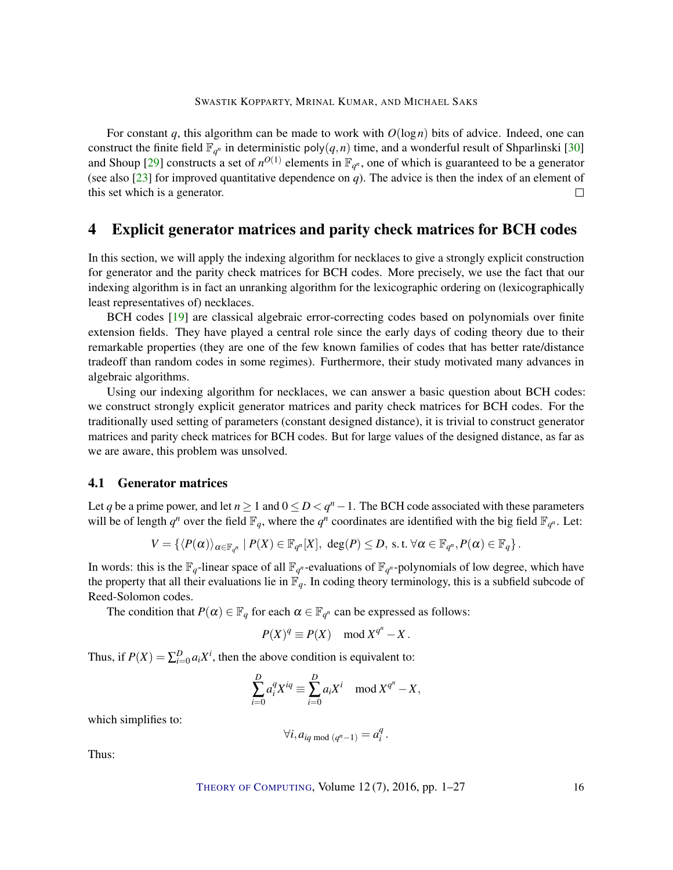<span id="page-15-1"></span>For constant *q*, this algorithm can be made to work with *O*(log*n*) bits of advice. Indeed, one can construct the finite field  $\mathbb{F}_{q^n}$  in deterministic poly $(q, n)$  time, and a wonderful result of Shparlinski [\[30\]](#page-25-8) and Shoup [\[29\]](#page-25-4) constructs a set of  $n^{O(1)}$  elements in  $\mathbb{F}_{q^n}$ , one of which is guaranteed to be a generator (see also [\[23\]](#page-24-11) for improved quantitative dependence on *q*). The advice is then the index of an element of this set which is a generator.  $\Box$ 

## <span id="page-15-0"></span>4 Explicit generator matrices and parity check matrices for BCH codes

In this section, we will apply the indexing algorithm for necklaces to give a strongly explicit construction for generator and the parity check matrices for BCH codes. More precisely, we use the fact that our indexing algorithm is in fact an unranking algorithm for the lexicographic ordering on (lexicographically least representatives of) necklaces.

BCH codes [\[19\]](#page-24-12) are classical algebraic error-correcting codes based on polynomials over finite extension fields. They have played a central role since the early days of coding theory due to their remarkable properties (they are one of the few known families of codes that has better rate/distance tradeoff than random codes in some regimes). Furthermore, their study motivated many advances in algebraic algorithms.

Using our indexing algorithm for necklaces, we can answer a basic question about BCH codes: we construct strongly explicit generator matrices and parity check matrices for BCH codes. For the traditionally used setting of parameters (constant designed distance), it is trivial to construct generator matrices and parity check matrices for BCH codes. But for large values of the designed distance, as far as we are aware, this problem was unsolved.

#### 4.1 Generator matrices

Let *q* be a prime power, and let  $n \geq 1$  and  $0 \leq D < q<sup>n</sup> - 1$ . The BCH code associated with these parameters will be of length  $q^n$  over the field  $\mathbb{F}_q$ , where the  $q^n$  coordinates are identified with the big field  $\mathbb{F}_{q^n}$ . Let:

$$
V = \left\{ \langle P(\alpha) \rangle_{\alpha \in \mathbb{F}_{q^n}} \mid P(X) \in \mathbb{F}_{q^n}[X], \deg(P) \leq D, \text{ s.t. } \forall \alpha \in \mathbb{F}_{q^n}, P(\alpha) \in \mathbb{F}_q \right\}.
$$

In words: this is the  $\mathbb{F}_q$ -linear space of all  $\mathbb{F}_{q^n}$ -evaluations of  $\mathbb{F}_{q^n}$ -polynomials of low degree, which have the property that all their evaluations lie in  $\mathbb{F}_q$ . In coding theory terminology, this is a subfield subcode of Reed-Solomon codes.

The condition that  $P(\alpha) \in \mathbb{F}_q$  for each  $\alpha \in \mathbb{F}_{q^n}$  can be expressed as follows:

$$
P(X)^q \equiv P(X) \mod X^{q^n} - X.
$$

Thus, if  $P(X) = \sum_{i=0}^{D} a_i X^i$ , then the above condition is equivalent to:

$$
\sum_{i=0}^{D} a_i^q X^{iq} \equiv \sum_{i=0}^{D} a_i X^i \mod X^{q^n} - X,
$$

which simplifies to:

$$
\forall i, a_{iq \bmod (q^n-1)} = a_i^q.
$$

Thus:

THEORY OF C[OMPUTING](http://dx.doi.org/10.4086/toc), Volume 12(7), 2016, pp. 1–27 16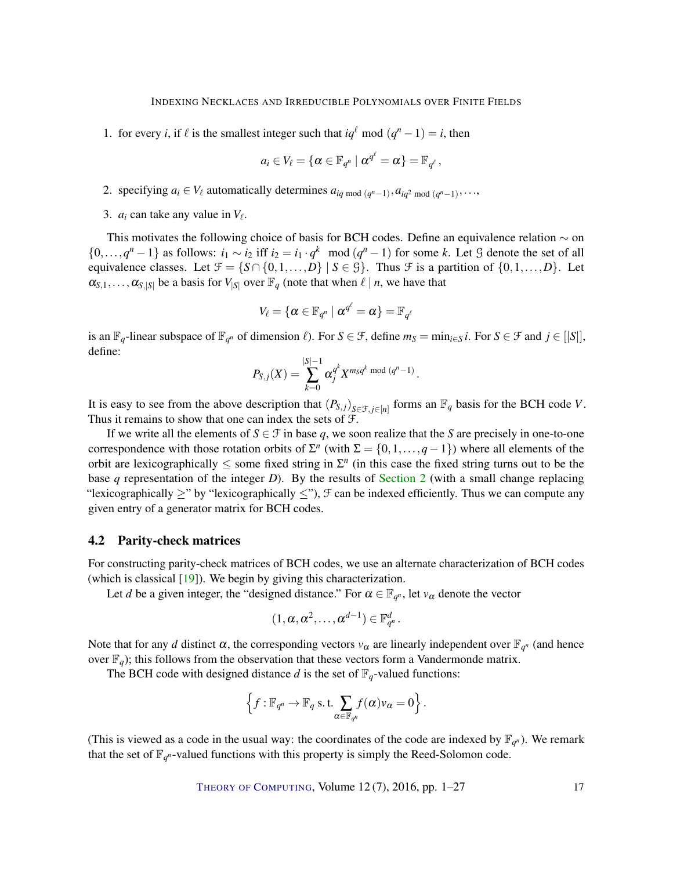<span id="page-16-0"></span>1. for every *i*, if  $\ell$  is the smallest integer such that  $iq^{\ell}$  mod  $(q^n - 1) = i$ , then

$$
a_i\in V_{\ell}=\{\alpha\in\mathbb{F}_{q^n}\mid \alpha^{q^{\ell}}=\alpha\}=\mathbb{F}_{q^{\ell}},
$$

- 2. specifying  $a_i \in V_\ell$  automatically determines  $a_{iq \mod (q^n-1)}, a_{iq^2 \mod (q^n-1)}, \ldots$
- 3.  $a_i$  can take any value in  $V_\ell$ .

This motivates the following choice of basis for BCH codes. Define an equivalence relation  $\sim$  on  $\{0,\ldots,q^n-1\}$  as follows:  $i_1 \sim i_2$  iff  $i_2 = i_1 \cdot q^k \mod (q^n-1)$  for some *k*. Let G denote the set of all equivalence classes. Let  $\mathcal{F} = \{S \cap \{0,1,\ldots,D\} \mid S \in \mathcal{G}\}\$ . Thus  $\mathcal{F}$  is a partition of  $\{0,1,\ldots,D\}\$ . Let  $\alpha_{S,1},\ldots,\alpha_{S,|S|}$  be a basis for  $V_{|S|}$  over  $\mathbb{F}_q$  (note that when  $\ell \mid n$ , we have that

$$
V_\ell = \{ \alpha \in \mathbb{F}_{q^n} \mid \alpha^{q^\ell} = \alpha \} = \mathbb{F}_{q^\ell}
$$

is an  $\mathbb{F}_q$ -linear subspace of  $\mathbb{F}_{q^n}$  of dimension  $\ell$ ). For  $S \in \mathcal{F}$ , define  $m_S = \min_{i \in S} i$ . For  $S \in \mathcal{F}$  and  $j \in [|S|]$ , define:

$$
P_{S,j}(X) = \sum_{k=0}^{|S|-1} \alpha_j^{q^k} X^{m_S q^k \bmod (q^n-1)}.
$$

It is easy to see from the above description that  $(P_{S,j})_{S \in \mathcal{F}, j \in [n]}$  forms an  $\mathbb{F}_q$  basis for the BCH code *V*. Thus it remains to show that one can index the sets of F.

If we write all the elements of  $S \in \mathcal{F}$  in base q, we soon realize that the *S* are precisely in one-to-one correspondence with those rotation orbits of  $\Sigma^n$  (with  $\Sigma = \{0, 1, ..., q-1\}$ ) where all elements of the orbit are lexicographically  $\leq$  some fixed string in  $\Sigma<sup>n</sup>$  (in this case the fixed string turns out to be the base *q* representation of the integer *D*). By the results of [Section](#page-5-0) [2](#page-5-0) (with a small change replacing "lexicographically  $\geq$ " by "lexicographically  $\leq$ "),  $\mathcal F$  can be indexed efficiently. Thus we can compute any given entry of a generator matrix for BCH codes.

#### 4.2 Parity-check matrices

For constructing parity-check matrices of BCH codes, we use an alternate characterization of BCH codes (which is classical [\[19\]](#page-24-12)). We begin by giving this characterization.

Let *d* be a given integer, the "designed distance." For  $\alpha \in \mathbb{F}_{q^n}$ , let  $v_\alpha$  denote the vector

$$
(1,\alpha,\alpha^2,\ldots,\alpha^{d-1})\in\mathbb{F}_{q^n}^d.
$$

Note that for any *d* distinct  $\alpha$ , the corresponding vectors  $v_{\alpha}$  are linearly independent over  $\mathbb{F}_{q^n}$  (and hence over  $\mathbb{F}_q$ ); this follows from the observation that these vectors form a Vandermonde matrix.

The BCH code with designed distance *d* is the set of  $\mathbb{F}_q$ -valued functions:

$$
\left\{f: \mathbb{F}_{q^n} \to \mathbb{F}_q \text{ s.t. } \sum_{\alpha \in \mathbb{F}_{q^n}} f(\alpha) v_{\alpha} = 0\right\}.
$$

(This is viewed as a code in the usual way: the coordinates of the code are indexed by  $\mathbb{F}_{q^n}$ ). We remark that the set of  $\mathbb{F}_{q^n}$ -valued functions with this property is simply the Reed-Solomon code.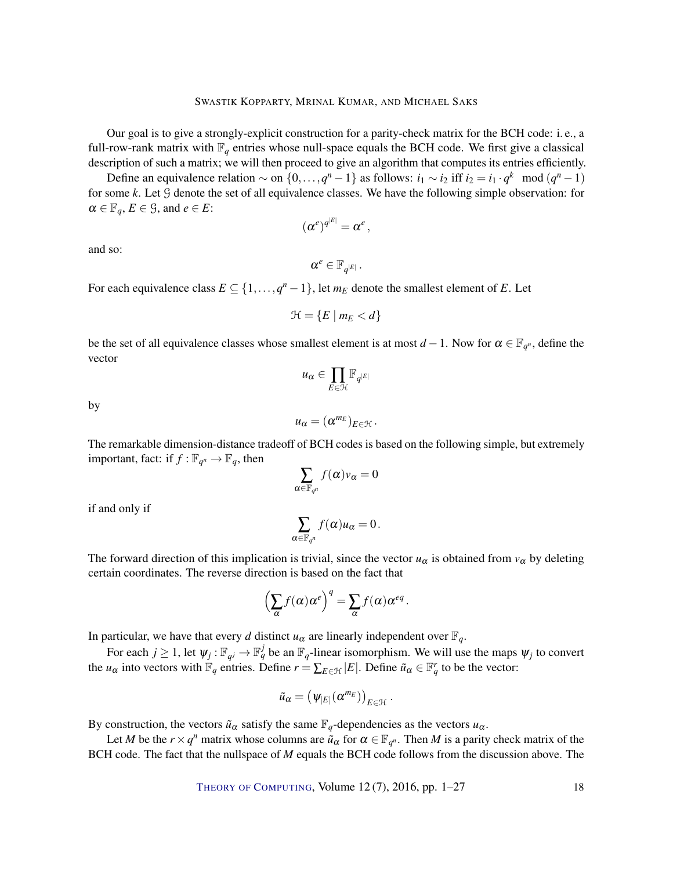Our goal is to give a strongly-explicit construction for a parity-check matrix for the BCH code: i. e., a full-row-rank matrix with  $\mathbb{F}_q$  entries whose null-space equals the BCH code. We first give a classical description of such a matrix; we will then proceed to give an algorithm that computes its entries efficiently.

Define an equivalence relation  $\sim$  on  $\{0, ..., q^n - 1\}$  as follows:  $i_1 \sim i_2$  iff  $i_2 = i_1 \cdot q^k \mod (q^n - 1)$ for some *k*. Let G denote the set of all equivalence classes. We have the following simple observation: for  $\alpha \in \mathbb{F}_q, E \in \mathcal{G}$ , and  $e \in E$ :

$$
(\alpha^e)^{q^{|E|}} = \alpha^e \,,
$$

and so:

$$
\alpha^e\in \mathbb{F}_{q^{|E|}}.
$$

For each equivalence class  $E \subseteq \{1, \ldots, q^n - 1\}$ , let  $m_E$  denote the smallest element of *E*. Let

$$
\mathcal{H} = \{ E \mid m_E < d \}
$$

be the set of all equivalence classes whose smallest element is at most  $d-1$ . Now for  $\alpha \in \mathbb{F}_{q^n}$ , define the vector

$$
u_\alpha\in\prod_{E\in\mathcal{H}}\mathbb{F}_{q^{|E|}}
$$

by

$$
u_{\alpha}=(\alpha^{m_E})_{E\in\mathcal{H}}.
$$

The remarkable dimension-distance tradeoff of BCH codes is based on the following simple, but extremely important, fact: if  $f : \mathbb{F}_{q^n} \to \mathbb{F}_q$ , then

$$
\sum_{\alpha \in \mathbb{F}_{q^n}} f(\alpha) v_{\alpha} = 0
$$

if and only if

$$
\sum_{\alpha\in\mathbb{F}_{q^n}}f(\alpha)u_\alpha=0.
$$

The forward direction of this implication is trivial, since the vector  $u_\alpha$  is obtained from  $v_\alpha$  by deleting certain coordinates. The reverse direction is based on the fact that

$$
\left(\sum_{\alpha} f(\alpha)\alpha^{e}\right)^{q} = \sum_{\alpha} f(\alpha)\alpha^{eq}.
$$

In particular, we have that every *d* distinct  $u_{\alpha}$  are linearly independent over  $\mathbb{F}_q$ .

For each  $j \ge 1$ , let  $\psi_j : \mathbb{F}_{q^j} \to \mathbb{F}_q^j$  be an  $\mathbb{F}_q$ -linear isomorphism. We will use the maps  $\psi_j$  to convert the  $u_{\alpha}$  into vectors with  $\mathbb{F}_q$  entries. Define  $r = \sum_{E \in \mathcal{H}} |E|$ . Define  $\tilde{u}_{\alpha} \in \mathbb{F}_q^r$  to be the vector:

$$
\tilde{u}_{\alpha} = (\psi_{|E|}(\alpha^{m_E}))_{E \in \mathcal{H}}.
$$

By construction, the vectors  $\tilde{u}_\alpha$  satisfy the same  $\mathbb{F}_q$ -dependencies as the vectors  $u_\alpha$ .

Let *M* be the  $r \times q^n$  matrix whose columns are  $\tilde{u}_\alpha$  for  $\alpha \in \mathbb{F}_{q^n}$ . Then *M* is a parity check matrix of the BCH code. The fact that the nullspace of *M* equals the BCH code follows from the discussion above. The

THEORY OF C[OMPUTING](http://dx.doi.org/10.4086/toc), Volume 12(7), 2016, pp. 1–27 18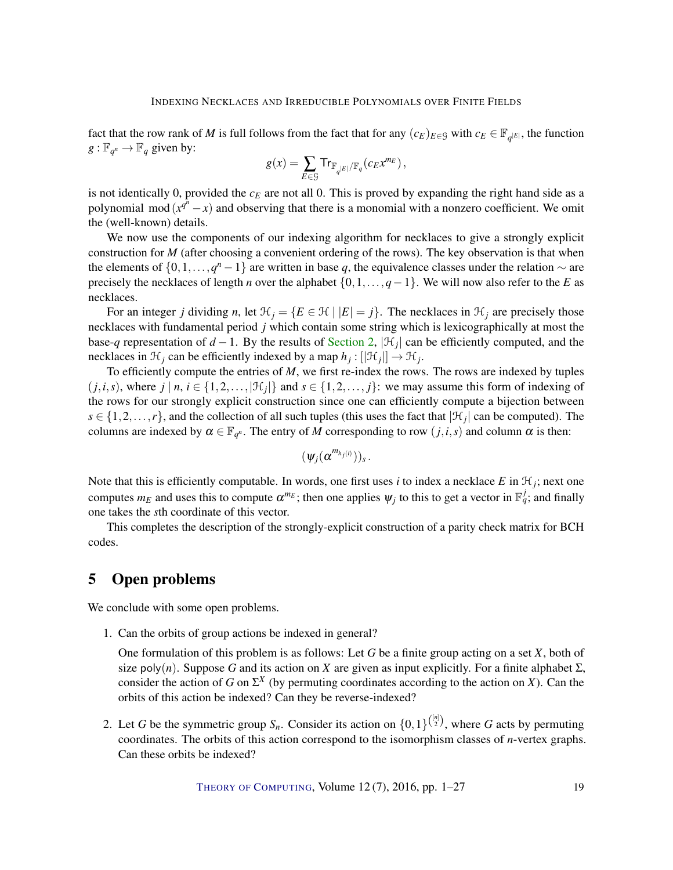fact that the row rank of *M* is full follows from the fact that for any  $(c_E)_{E \in \mathcal{G}}$  with  $c_E \in \mathbb{F}_{q^{|E|}}$ , the function  $g: \mathbb{F}_{q^n} \to \mathbb{F}_q$  given by:

$$
g(x) = \sum_{E \in \mathcal{G}} \mathrm{Tr}_{\mathbb{F}_{q^{|E|}}/\mathbb{F}_q}(c_E x^{m_E}),
$$

is not identically 0, provided the  $c_E$  are not all 0. This is proved by expanding the right hand side as a polynomial mod  $(x^{\hat{q}^n} - x)$  and observing that there is a monomial with a nonzero coefficient. We omit the (well-known) details.

We now use the components of our indexing algorithm for necklaces to give a strongly explicit construction for *M* (after choosing a convenient ordering of the rows). The key observation is that when the elements of  $\{0, 1, \ldots, q^{n} - 1\}$  are written in base q, the equivalence classes under the relation  $\sim$  are precisely the necklaces of length *n* over the alphabet {0,1,...,*q*−1}. We will now also refer to the *E* as necklaces.

For an integer *j* dividing *n*, let  $\mathcal{H}_j = \{E \in \mathcal{H} \mid |E| = j\}$ . The necklaces in  $\mathcal{H}_j$  are precisely those necklaces with fundamental period *j* which contain some string which is lexicographically at most the base-*q* representation of  $d-1$ . By the results of [Section](#page-5-0) [2,](#page-5-0)  $|\mathcal{H}_j|$  can be efficiently computed, and the necklaces in  $\mathcal{H}_j$  can be efficiently indexed by a map  $h_j : [|\mathcal{H}_j|] \to \mathcal{H}_j$ .

To efficiently compute the entries of *M*, we first re-index the rows. The rows are indexed by tuples  $(j,i,s)$ , where  $j \mid n, i \in \{1,2,\ldots,|\mathcal{H}_j|\}$  and  $s \in \{1,2,\ldots,j\}$ : we may assume this form of indexing of the rows for our strongly explicit construction since one can efficiently compute a bijection between  $s \in \{1, 2, \ldots, r\}$ , and the collection of all such tuples (this uses the fact that  $|\mathcal{H}_j|$  can be computed). The columns are indexed by  $\alpha \in \mathbb{F}_{q^n}$ . The entry of *M* corresponding to row  $(j, i, s)$  and column  $\alpha$  is then:

$$
(\psi_j(\alpha^{m_{h_j(i)}}))_s.
$$

Note that this is efficiently computable. In words, one first uses *i* to index a necklace  $E$  in  $\mathcal{H}_j$ ; next one computes  $m_E$  and uses this to compute  $\alpha^{m_E}$ ; then one applies  $\psi_j$  to this to get a vector in  $\mathbb{F}_q^j$ ; and finally one takes the *s*th coordinate of this vector.

This completes the description of the strongly-explicit construction of a parity check matrix for BCH codes.

# <span id="page-18-0"></span>5 Open problems

We conclude with some open problems.

1. Can the orbits of group actions be indexed in general?

One formulation of this problem is as follows: Let *G* be a finite group acting on a set *X*, both of size poly(*n*). Suppose *G* and its action on *X* are given as input explicitly. For a finite alphabet  $\Sigma$ , consider the action of *G* on  $\Sigma^X$  (by permuting coordinates according to the action on *X*). Can the orbits of this action be indexed? Can they be reverse-indexed?

2. Let *G* be the symmetric group  $S_n$ . Consider its action on  $\{0,1\}^{\binom{[n]}{2}}$ , where *G* acts by permuting coordinates. The orbits of this action correspond to the isomorphism classes of *n*-vertex graphs. Can these orbits be indexed?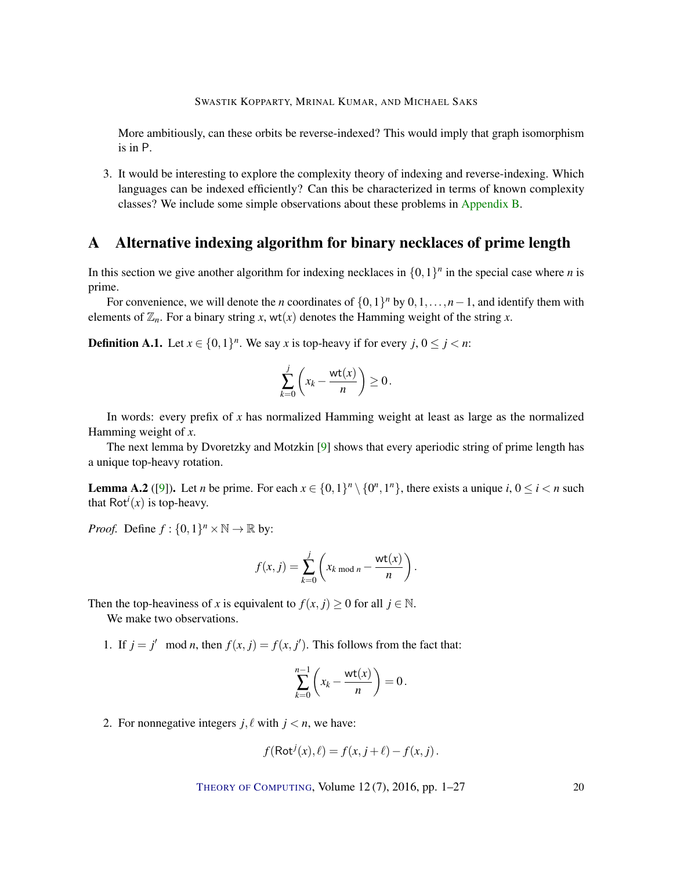<span id="page-19-1"></span>More ambitiously, can these orbits be reverse-indexed? This would imply that graph isomorphism is in P.

3. It would be interesting to explore the complexity theory of indexing and reverse-indexing. Which languages can be indexed efficiently? Can this be characterized in terms of known complexity classes? We include some simple observations about these problems in [Appendix](#page-21-0) [B.](#page-21-0)

# <span id="page-19-0"></span>A Alternative indexing algorithm for binary necklaces of prime length

In this section we give another algorithm for indexing necklaces in  $\{0,1\}^n$  in the special case where *n* is prime.

For convenience, we will denote the *n* coordinates of  $\{0,1\}^n$  by  $0,1,\ldots,n-1$ , and identify them with elements of  $\mathbb{Z}_n$ . For a binary string *x*, wt(*x*) denotes the Hamming weight of the string *x*.

**Definition A.1.** Let  $x \in \{0,1\}^n$ . We say x is top-heavy if for every  $j, 0 \le j < n$ :

$$
\sum_{k=0}^j \left( x_k - \frac{\text{wt}(x)}{n} \right) \ge 0.
$$

In words: every prefix of *x* has normalized Hamming weight at least as large as the normalized Hamming weight of *x*.

The next lemma by Dvoretzky and Motzkin [\[9\]](#page-23-12) shows that every aperiodic string of prime length has a unique top-heavy rotation.

**Lemma A.2** ([\[9\]](#page-23-12)). Let *n* be prime. For each  $x \in \{0,1\}^n \setminus \{0^n,1^n\}$ , there exists a unique *i*,  $0 \le i < n$  such that  $Rot<sup>i</sup>(x)$  is top-heavy.

*Proof.* Define  $f: \{0,1\}^n \times \mathbb{N} \to \mathbb{R}$  by:

$$
f(x, j) = \sum_{k=0}^{j} \left( x_k \mod n - \frac{\mathsf{wt}(x)}{n} \right).
$$

Then the top-heaviness of *x* is equivalent to  $f(x, j) \ge 0$  for all  $j \in \mathbb{N}$ .

We make two observations.

1. If  $j = j' \mod n$ , then  $f(x, j) = f(x, j')$ . This follows from the fact that:

$$
\sum_{k=0}^{n-1} \left( x_k - \frac{\text{wt}(x)}{n} \right) = 0 \, .
$$

2. For nonnegative integers  $j, l$  with  $j < n$ , we have:

$$
f(\text{Rot}^{j}(x), \ell) = f(x, j + \ell) - f(x, j).
$$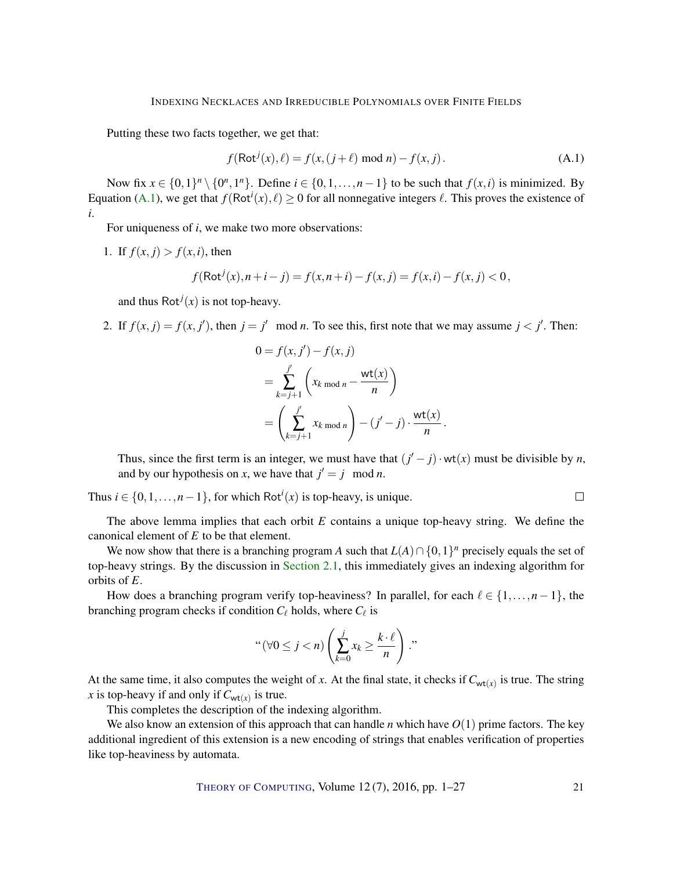Putting these two facts together, we get that:

<span id="page-20-0"></span>
$$
f(\text{Rot}^{j}(x), \ell) = f(x, (j + \ell) \text{ mod } n) - f(x, j).
$$
 (A.1)

Now fix  $x \in \{0,1\}^n \setminus \{0^n,1^n\}$ . Define  $i \in \{0,1,\ldots,n-1\}$  to be such that  $f(x,i)$  is minimized. By Equation [\(A.1\)](#page-20-0), we get that  $f(\text{Rot}^i(x), \ell) \ge 0$  for all nonnegative integers  $\ell$ . This proves the existence of *i*.

For uniqueness of *i*, we make two more observations:

1. If  $f(x, j) > f(x, i)$ , then

$$
f(\text{Rot}^{j}(x), n+i-j) = f(x, n+i) - f(x, j) = f(x, i) - f(x, j) < 0,
$$

and thus  $Rot<sup>j</sup>(x)$  is not top-heavy.

2. If  $f(x, j) = f(x, j')$ , then  $j = j' \mod n$ . To see this, first note that we may assume  $j < j'$ . Then:

$$
0 = f(x, j') - f(x, j)
$$
  
=  $\sum_{k=j+1}^{j'} \left( x_k \mod n - \frac{\text{wt}(x)}{n} \right)$   
=  $\left( \sum_{k=j+1}^{j'} x_k \mod n \right) - (j' - j) \cdot \frac{\text{wt}(x)}{n}.$ 

Thus, since the first term is an integer, we must have that  $(j'-j) \cdot wt(x)$  must be divisible by *n*, and by our hypothesis on *x*, we have that  $j' = j \mod n$ .

 $\Box$ 

Thus  $i \in \{0, 1, \ldots, n-1\}$ , for which Rot<sup>*i*</sup>(*x*) is top-heavy, is unique.

The above lemma implies that each orbit *E* contains a unique top-heavy string. We define the canonical element of *E* to be that element.

We now show that there is a branching program *A* such that  $L(A) \cap \{0,1\}^n$  precisely equals the set of top-heavy strings. By the discussion in [Section](#page-5-1) [2.1,](#page-5-1) this immediately gives an indexing algorithm for orbits of *E*.

How does a branching program verify top-heaviness? In parallel, for each  $\ell \in \{1,\ldots,n-1\}$ , the branching program checks if condition  $C_{\ell}$  holds, where  $C_{\ell}$  is

" 
$$
(\forall 0 \le j < n)
$$
  $\left(\sum_{k=0}^{j} x_k \ge \frac{k \cdot \ell}{n}\right)$ ."

At the same time, it also computes the weight of *x*. At the final state, it checks if  $C_{wt(x)}$  is true. The string *x* is top-heavy if and only if  $C_{wt(x)}$  is true.

This completes the description of the indexing algorithm.

We also know an extension of this approach that can handle *n* which have *O*(1) prime factors. The key additional ingredient of this extension is a new encoding of strings that enables verification of properties like top-heaviness by automata.

THEORY OF C[OMPUTING](http://dx.doi.org/10.4086/toc), Volume 12 (7), 2016, pp. 1–27 21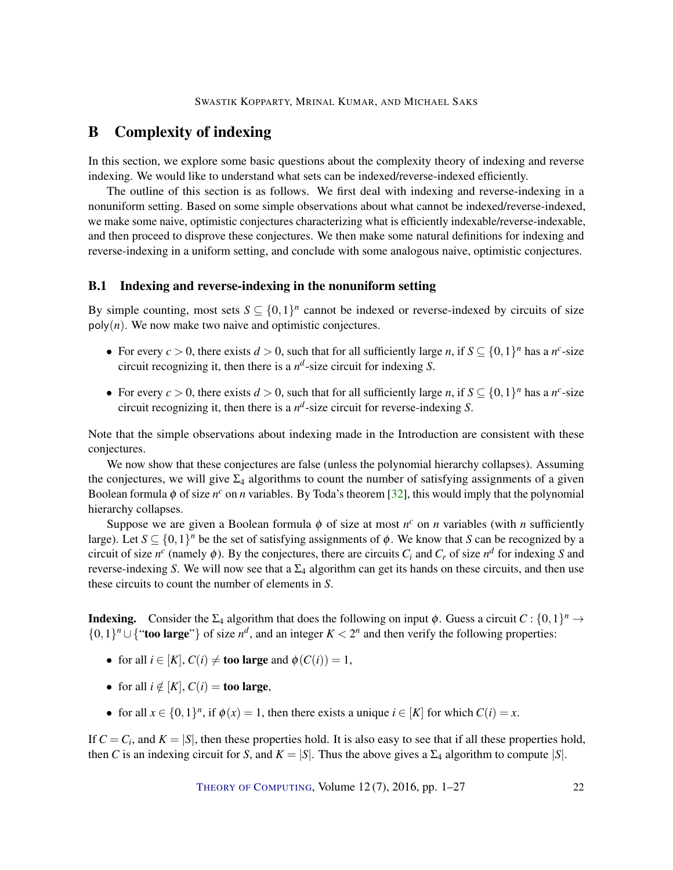# <span id="page-21-1"></span><span id="page-21-0"></span>B Complexity of indexing

In this section, we explore some basic questions about the complexity theory of indexing and reverse indexing. We would like to understand what sets can be indexed/reverse-indexed efficiently.

The outline of this section is as follows. We first deal with indexing and reverse-indexing in a nonuniform setting. Based on some simple observations about what cannot be indexed/reverse-indexed, we make some naive, optimistic conjectures characterizing what is efficiently indexable/reverse-indexable, and then proceed to disprove these conjectures. We then make some natural definitions for indexing and reverse-indexing in a uniform setting, and conclude with some analogous naive, optimistic conjectures.

#### B.1 Indexing and reverse-indexing in the nonuniform setting

By simple counting, most sets  $S \subseteq \{0,1\}^n$  cannot be indexed or reverse-indexed by circuits of size  $poly(n)$ . We now make two naive and optimistic conjectures.

- For every  $c > 0$ , there exists  $d > 0$ , such that for all sufficiently large *n*, if  $S \subseteq \{0,1\}^n$  has a *n*<sup>c</sup>-size circuit recognizing it, then there is a  $n^d$ -size circuit for indexing *S*.
- For every  $c > 0$ , there exists  $d > 0$ , such that for all sufficiently large *n*, if  $S \subseteq \{0,1\}^n$  has a *n*<sup>c</sup>-size circuit recognizing it, then there is a  $n^d$ -size circuit for reverse-indexing *S*.

Note that the simple observations about indexing made in the Introduction are consistent with these conjectures.

We now show that these conjectures are false (unless the polynomial hierarchy collapses). Assuming the conjectures, we will give  $\Sigma_4$  algorithms to count the number of satisfying assignments of a given Boolean formula  $\phi$  of size  $n^c$  on *n* variables. By Toda's theorem [\[32\]](#page-25-9), this would imply that the polynomial hierarchy collapses.

Suppose we are given a Boolean formula  $\phi$  of size at most  $n^c$  on *n* variables (with *n* sufficiently large). Let  $S \subseteq \{0,1\}^n$  be the set of satisfying assignments of  $\phi$ . We know that *S* can be recognized by a circuit of size  $n^c$  (namely  $\phi$ ). By the conjectures, there are circuits  $C_i$  and  $C_r$  of size  $n^d$  for indexing *S* and reverse-indexing *S*. We will now see that a  $\Sigma_4$  algorithm can get its hands on these circuits, and then use these circuits to count the number of elements in *S*.

**Indexing.** Consider the  $\Sigma_4$  algorithm that does the following on input  $\phi$ . Guess a circuit  $C: \{0,1\}^n \to$ {0,1}<sup>*n*</sup> ∪ {"**too large**"} of size *n<sup>d</sup>*, and an integer *K* < 2<sup>*n*</sup> and then verify the following properties:

- for all  $i \in [K]$ ,  $C(i) \neq$  too large and  $\phi(C(i)) = 1$ ,
- for all  $i \notin [K]$ ,  $C(i) =$  too large,
- for all  $x \in \{0,1\}^n$ , if  $\phi(x) = 1$ , then there exists a unique  $i \in [K]$  for which  $C(i) = x$ .

If  $C = C_i$ , and  $K = |S|$ , then these properties hold. It is also easy to see that if all these properties hold, then *C* is an indexing circuit for *S*, and  $K = |S|$ . Thus the above gives a  $\Sigma_4$  algorithm to compute  $|S|$ .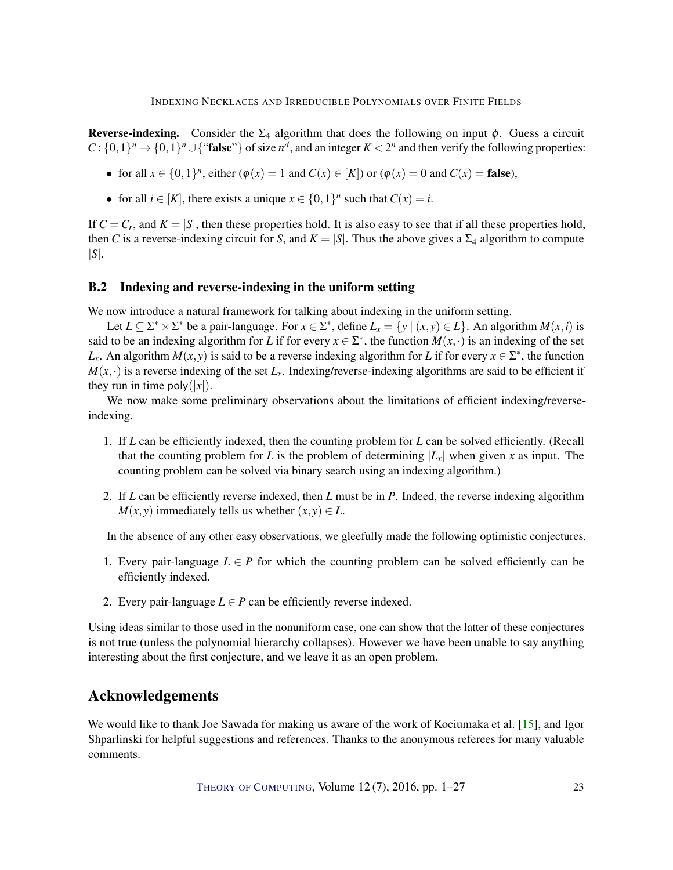<span id="page-22-0"></span>Reverse-indexing. Consider the  $\Sigma_4$  algorithm that does the following on input  $\phi$ . Guess a circuit  $C: \{0,1\}^n \to \{0,1\}^n \cup \{``false"\}$  of size  $n^d$ , and an integer  $K < 2^n$  and then verify the following properties:

- for all  $x \in \{0,1\}^n$ , either  $(\phi(x)) = 1$  and  $C(x) \in [K]$ ) or  $(\phi(x)) = 0$  and  $C(x) =$  false),
- for all  $i \in [K]$ , there exists a unique  $x \in \{0, 1\}^n$  such that  $C(x) = i$ .

If  $C = C_r$ , and  $K = |S|$ , then these properties hold. It is also easy to see that if all these properties hold, then *C* is a reverse-indexing circuit for *S*, and  $K = |S|$ . Thus the above gives a  $\Sigma_4$  algorithm to compute |*S*|.

## B.2 Indexing and reverse-indexing in the uniform setting

We now introduce a natural framework for talking about indexing in the uniform setting.

Let  $L \subseteq \Sigma^* \times \Sigma^*$  be a pair-language. For  $x \in \Sigma^*$ , define  $L_x = \{y \mid (x, y) \in L\}$ . An algorithm  $M(x, i)$  is said to be an indexing algorithm for *L* if for every  $x \in \Sigma^*$ , the function  $M(x, \cdot)$  is an indexing of the set *L*<sub>x</sub>. An algorithm *M*(*x*, *y*) is said to be a reverse indexing algorithm for *L* if for every  $x \in \Sigma^*$ , the function  $M(x, \cdot)$  is a reverse indexing of the set  $L_x$ . Indexing/reverse-indexing algorithms are said to be efficient if they run in time poly( $|x|$ ).

We now make some preliminary observations about the limitations of efficient indexing/reverseindexing.

- 1. If *L* can be efficiently indexed, then the counting problem for *L* can be solved efficiently. (Recall that the counting problem for *L* is the problem of determining  $|L_x|$  when given *x* as input. The counting problem can be solved via binary search using an indexing algorithm.)
- 2. If *L* can be efficiently reverse indexed, then *L* must be in *P*. Indeed, the reverse indexing algorithm *M*(*x*, *y*) immediately tells us whether  $(x, y) \in L$ .

In the absence of any other easy observations, we gleefully made the following optimistic conjectures.

- 1. Every pair-language  $L \in P$  for which the counting problem can be solved efficiently can be efficiently indexed.
- 2. Every pair-language  $L \in P$  can be efficiently reverse indexed.

Using ideas similar to those used in the nonuniform case, one can show that the latter of these conjectures is not true (unless the polynomial hierarchy collapses). However we have been unable to say anything interesting about the first conjecture, and we leave it as an open problem.

# Acknowledgements

We would like to thank Joe Sawada for making us aware of the work of Kociumaka et al. [\[15\]](#page-24-10), and Igor Shparlinski for helpful suggestions and references. Thanks to the anonymous referees for many valuable comments.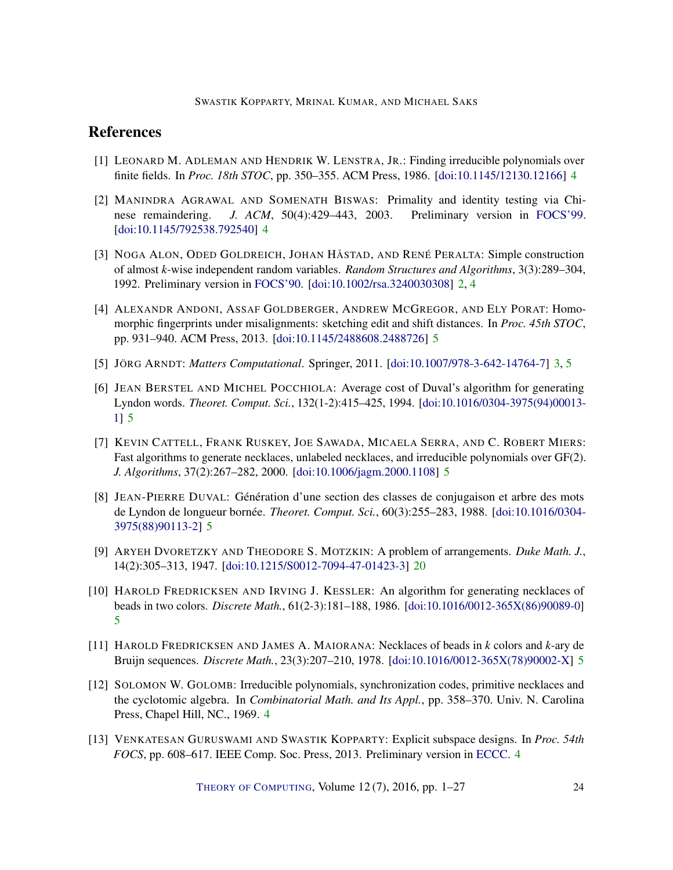# **References**

- <span id="page-23-5"></span>[1] LEONARD M. ADLEMAN AND HENDRIK W. LENSTRA, JR.: Finding irreducible polynomials over finite fields. In *Proc. 18th STOC*, pp. 350–355. ACM Press, 1986. [\[doi:10.1145/12130.12166\]](http://dx.doi.org/10.1145/12130.12166) [4](#page-3-2)
- <span id="page-23-4"></span>[2] MANINDRA AGRAWAL AND SOMENATH BISWAS: Primality and identity testing via Chinese remaindering. *J. ACM*, 50(4):429–443, 2003. Preliminary version in [FOCS'99.](http://dx.doi.org/10.1109/SFFCS.1999.814592) [\[doi:10.1145/792538.792540\]](http://dx.doi.org/10.1145/792538.792540) [4](#page-3-2)
- <span id="page-23-0"></span>[3] NOGA ALON, ODED GOLDREICH, JOHAN HÅSTAD, AND RENÉ PERALTA: Simple construction of almost *k*-wise independent random variables. *Random Structures and Algorithms*, 3(3):289–304, 1992. Preliminary version in [FOCS'90.](http://dx.doi.org/10.1109/FSCS.1990.89575) [\[doi:10.1002/rsa.3240030308\]](http://dx.doi.org/10.1002/rsa.3240030308) [2,](#page-1-0) [4](#page-3-2)
- <span id="page-23-11"></span>[4] ALEXANDR ANDONI, ASSAF GOLDBERGER, ANDREW MCGREGOR, AND ELY PORAT: Homomorphic fingerprints under misalignments: sketching edit and shift distances. In *Proc. 45th STOC*, pp. 931–940. ACM Press, 2013. [\[doi:10.1145/2488608.2488726\]](http://dx.doi.org/10.1145/2488608.2488726) [5](#page-4-0)
- <span id="page-23-1"></span>[5] JÖRG ARNDT: *Matters Computational*. Springer, 2011. [\[doi:10.1007/978-3-642-14764-7\]](http://dx.doi.org/10.1007/978-3-642-14764-7) [3,](#page-2-0) [5](#page-4-0)
- <span id="page-23-9"></span>[6] JEAN BERSTEL AND MICHEL POCCHIOLA: Average cost of Duval's algorithm for generating Lyndon words. *Theoret. Comput. Sci.*, 132(1-2):415–425, 1994. [\[doi:10.1016/0304-3975\(94\)00013-](http://dx.doi.org/10.1016/0304-3975(94)00013-1) [1\]](http://dx.doi.org/10.1016/0304-3975(94)00013-1) [5](#page-4-0)
- <span id="page-23-10"></span>[7] KEVIN CATTELL, FRANK RUSKEY, JOE SAWADA, MICAELA SERRA, AND C. ROBERT MIERS: Fast algorithms to generate necklaces, unlabeled necklaces, and irreducible polynomials over GF(2). *J. Algorithms*, 37(2):267–282, 2000. [\[doi:10.1006/jagm.2000.1108\]](http://dx.doi.org/10.1006/jagm.2000.1108) [5](#page-4-0)
- <span id="page-23-8"></span>[8] JEAN-PIERRE DUVAL: Génération d'une section des classes de conjugaison et arbre des mots de Lyndon de longueur bornée. *Theoret. Comput. Sci.*, 60(3):255–283, 1988. [\[doi:10.1016/0304-](http://dx.doi.org/10.1016/0304-3975(88)90113-2) [3975\(88\)90113-2\]](http://dx.doi.org/10.1016/0304-3975(88)90113-2) [5](#page-4-0)
- <span id="page-23-12"></span>[9] ARYEH DVORETZKY AND THEODORE S. MOTZKIN: A problem of arrangements. *Duke Math. J.*, 14(2):305–313, 1947. [\[doi:10.1215/S0012-7094-47-01423-3\]](http://dx.doi.org/10.1215/S0012-7094-47-01423-3) [20](#page-19-1)
- <span id="page-23-6"></span>[10] HAROLD FREDRICKSEN AND IRVING J. KESSLER: An algorithm for generating necklaces of beads in two colors. *Discrete Math.*, 61(2-3):181–188, 1986. [\[doi:10.1016/0012-365X\(86\)90089-0\]](http://dx.doi.org/10.1016/0012-365X(86)90089-0) [5](#page-4-0)
- <span id="page-23-7"></span>[11] HAROLD FREDRICKSEN AND JAMES A. MAIORANA: Necklaces of beads in *k* colors and *k*-ary de Bruijn sequences. *Discrete Math.*, 23(3):207–210, 1978. [\[doi:10.1016/0012-365X\(78\)90002-X\]](http://dx.doi.org/10.1016/0012-365X(78)90002-X) [5](#page-4-0)
- <span id="page-23-2"></span>[12] SOLOMON W. GOLOMB: Irreducible polynomials, synchronization codes, primitive necklaces and the cyclotomic algebra. In *Combinatorial Math. and Its Appl.*, pp. 358–370. Univ. N. Carolina Press, Chapel Hill, NC., 1969. [4](#page-3-2)
- <span id="page-23-3"></span>[13] VENKATESAN GURUSWAMI AND SWASTIK KOPPARTY: Explicit subspace designs. In *Proc. 54th FOCS*, pp. 608–617. IEEE Comp. Soc. Press, 2013. Preliminary version in [ECCC.](http://eccc.hpi-web.de/report/2013/060) [4](#page-3-2)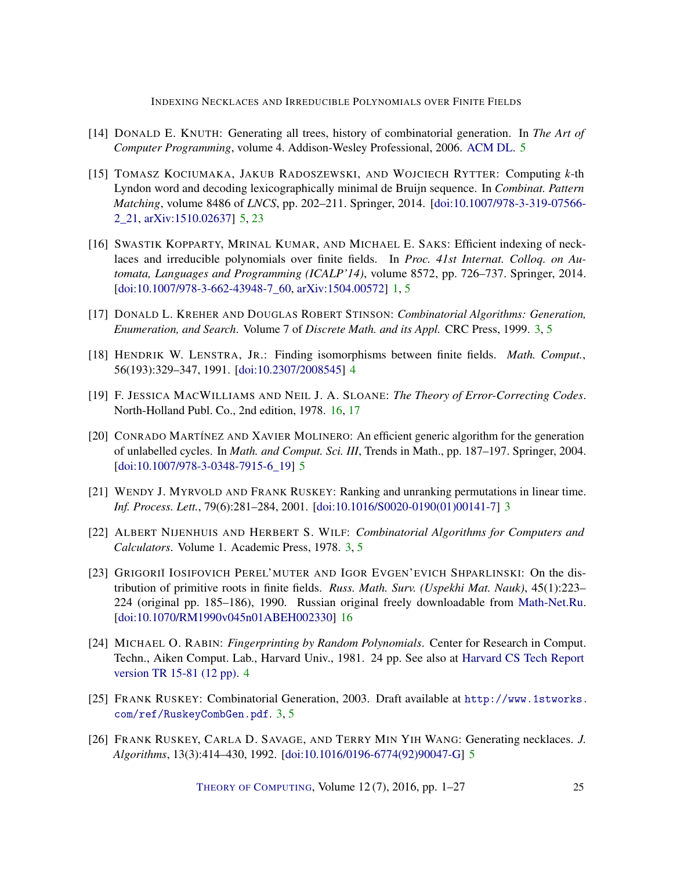- <span id="page-24-7"></span>[14] DONALD E. KNUTH: Generating all trees, history of combinatorial generation. In *The Art of Computer Programming*, volume 4. Addison-Wesley Professional, 2006. [ACM DL.](http://dl.acm.org/citation.cfm?id=1121689) [5](#page-4-0)
- <span id="page-24-10"></span>[15] TOMASZ KOCIUMAKA, JAKUB RADOSZEWSKI, AND WOJCIECH RYTTER: Computing *k*-th Lyndon word and decoding lexicographically minimal de Bruijn sequence. In *Combinat. Pattern Matching*, volume 8486 of *LNCS*, pp. 202–211. Springer, 2014. [\[doi:10.1007/978-3-319-07566-](http://dx.doi.org/10.1007/978-3-319-07566-2_21) [2\\_21,](http://dx.doi.org/10.1007/978-3-319-07566-2_21) [arXiv:1510.02637\]](http://arxiv.org/abs/1510.02637) [5,](#page-4-0) [23](#page-22-0)
- <span id="page-24-0"></span>[16] SWASTIK KOPPARTY, MRINAL KUMAR, AND MICHAEL E. SAKS: Efficient indexing of necklaces and irreducible polynomials over finite fields. In *Proc. 41st Internat. Colloq. on Automata, Languages and Programming (ICALP'14)*, volume 8572, pp. 726–737. Springer, 2014. [\[doi:10.1007/978-3-662-43948-7\\_60,](http://dx.doi.org/10.1007/978-3-662-43948-7_60) [arXiv:1504.00572\]](http://arxiv.org/abs/1504.00572) [1,](#page-0-0) [5](#page-4-0)
- <span id="page-24-2"></span>[17] DONALD L. KREHER AND DOUGLAS ROBERT STINSON: *Combinatorial Algorithms: Generation, Enumeration, and Search*. Volume 7 of *Discrete Math. and its Appl.* CRC Press, 1999. [3,](#page-2-0) [5](#page-4-0)
- <span id="page-24-6"></span>[18] HENDRIK W. LENSTRA, JR.: Finding isomorphisms between finite fields. *Math. Comput.*, 56(193):329–347, 1991. [\[doi:10.2307/2008545\]](http://dx.doi.org/10.2307/2008545) [4](#page-3-2)
- <span id="page-24-12"></span>[19] F. JESSICA MACWILLIAMS AND NEIL J. A. SLOANE: *The Theory of Error-Correcting Codes*. North-Holland Publ. Co., 2nd edition, 1978. [16,](#page-15-1) [17](#page-16-0)
- <span id="page-24-9"></span>[20] CONRADO MARTÍNEZ AND XAVIER MOLINERO: An efficient generic algorithm for the generation of unlabelled cycles. In *Math. and Comput. Sci. III*, Trends in Math., pp. 187–197. Springer, 2004. [\[doi:10.1007/978-3-0348-7915-6\\_19\]](http://dx.doi.org/10.1007/978-3-0348-7915-6_19) [5](#page-4-0)
- <span id="page-24-4"></span>[21] WENDY J. MYRVOLD AND FRANK RUSKEY: Ranking and unranking permutations in linear time. *Inf. Process. Lett.*, 79(6):281–284, 2001. [\[doi:10.1016/S0020-0190\(01\)00141-7\]](http://dx.doi.org/10.1016/S0020-0190(01)00141-7) [3](#page-2-0)
- <span id="page-24-1"></span>[22] ALBERT NIJENHUIS AND HERBERT S. WILF: *Combinatorial Algorithms for Computers and Calculators*. Volume 1. Academic Press, 1978. [3,](#page-2-0) [5](#page-4-0)
- <span id="page-24-11"></span>[23] GRIGORIĬ IOSIFOVICH PEREL'MUTER AND IGOR EVGEN'EVICH SHPARLINSKI: On the distribution of primitive roots in finite fields. *Russ. Math. Surv. (Uspekhi Mat. Nauk)*, 45(1):223– 224 (original pp. 185–186), 1990. Russian original freely downloadable from [Math-Net.Ru.](http://www.mathnet.ru/php/archive.phtml?wshow=paper&jrnid=rm&paperid=4703&option_lang=eng) [\[doi:10.1070/RM1990v045n01ABEH002330\]](http://dx.doi.org/10.1070/RM1990v045n01ABEH002330) [16](#page-15-1)
- <span id="page-24-5"></span>[24] MICHAEL O. RABIN: *Fingerprinting by Random Polynomials*. Center for Research in Comput. Techn., Aiken Comput. Lab., Harvard Univ., 1981. 24 pp. See also at [Harvard CS Tech Report](http://www.xmailserver.org/rabin.pdf) [version TR 15-81 \(12 pp\).](http://www.xmailserver.org/rabin.pdf) [4](#page-3-2)
- <span id="page-24-3"></span>[25] FRANK RUSKEY: Combinatorial Generation, 2003. Draft available at [http://www.1stworks.](http://www.1stworks.com/ref/RuskeyCombGen.pdf) [com/ref/RuskeyCombGen.pdf](http://www.1stworks.com/ref/RuskeyCombGen.pdf). [3,](#page-2-0) [5](#page-4-0)
- <span id="page-24-8"></span>[26] FRANK RUSKEY, CARLA D. SAVAGE, AND TERRY MIN YIH WANG: Generating necklaces. *J. Algorithms*, 13(3):414–430, 1992. [\[doi:10.1016/0196-6774\(92\)90047-G\]](http://dx.doi.org/10.1016/0196-6774(92)90047-G) [5](#page-4-0)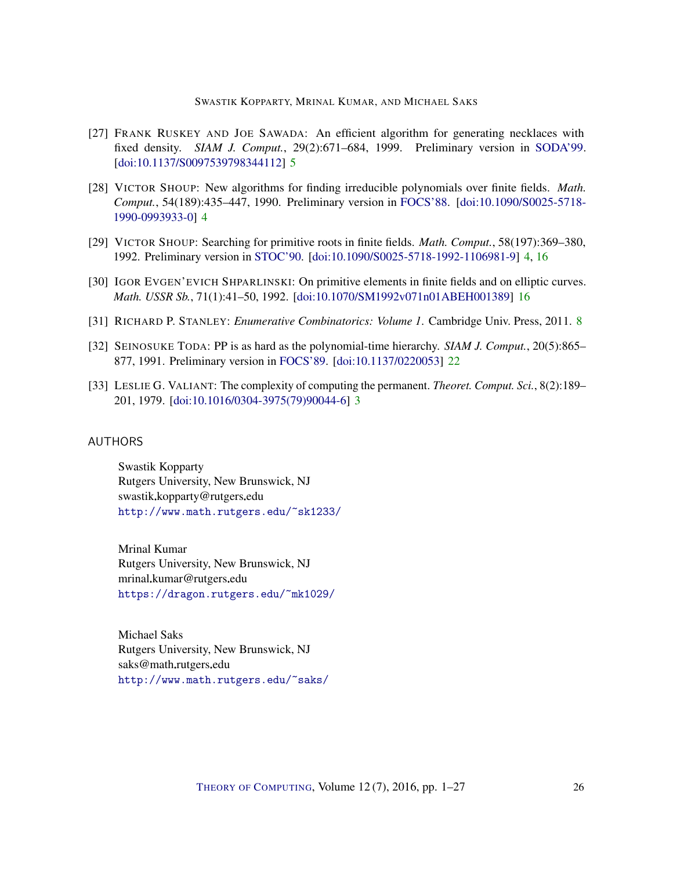- <span id="page-25-6"></span>[27] FRANK RUSKEY AND JOE SAWADA: An efficient algorithm for generating necklaces with fixed density. *SIAM J. Comput.*, 29(2):671–684, 1999. Preliminary version in [SODA'99.](http://dl.acm.org/citation.cfm?id=314500.314910) [\[doi:10.1137/S0097539798344112\]](http://dx.doi.org/10.1137/S0097539798344112) [5](#page-4-0)
- <span id="page-25-5"></span>[28] VICTOR SHOUP: New algorithms for finding irreducible polynomials over finite fields. *Math. Comput.*, 54(189):435–447, 1990. Preliminary version in [FOCS'88.](http://dx.doi.org/10.1109/SFCS.1988.21944) [\[doi:10.1090/S0025-5718-](http://dx.doi.org/10.1090/S0025-5718-1990-0993933-0) [1990-0993933-0\]](http://dx.doi.org/10.1090/S0025-5718-1990-0993933-0) [4](#page-3-2)
- <span id="page-25-4"></span>[29] VICTOR SHOUP: Searching for primitive roots in finite fields. *Math. Comput.*, 58(197):369–380, 1992. Preliminary version in [STOC'90.](http://dx.doi.org/10.1145/100216.100293) [\[doi:10.1090/S0025-5718-1992-1106981-9\]](http://dx.doi.org/10.1090/S0025-5718-1992-1106981-9) [4,](#page-3-2) [16](#page-15-1)
- <span id="page-25-8"></span>[30] IGOR EVGEN'EVICH SHPARLINSKI: On primitive elements in finite fields and on elliptic curves. *Math. USSR Sb.*, 71(1):41–50, 1992. [\[doi:10.1070/SM1992v071n01ABEH001389\]](http://dx.doi.org/10.1070/SM1992v071n01ABEH001389) [16](#page-15-1)
- <span id="page-25-7"></span>[31] RICHARD P. STANLEY: *Enumerative Combinatorics: Volume 1*. Cambridge Univ. Press, 2011. [8](#page-7-5)
- <span id="page-25-9"></span>[32] SEINOSUKE TODA: PP is as hard as the polynomial-time hierarchy. *SIAM J. Comput.*, 20(5):865– 877, 1991. Preliminary version in [FOCS'89.](http://dx.doi.org/10.1109/SFCS.1989.63527) [\[doi:10.1137/0220053\]](http://dx.doi.org/10.1137/0220053) [22](#page-21-1)
- <span id="page-25-3"></span>[33] LESLIE G. VALIANT: The complexity of computing the permanent. *Theoret. Comput. Sci.*, 8(2):189– 201, 1979. [\[doi:10.1016/0304-3975\(79\)90044-6\]](http://dx.doi.org/10.1016/0304-3975(79)90044-6) [3](#page-2-0)

#### <span id="page-25-0"></span>AUTHORS

Swastik Kopparty Rutgers University, New Brunswick, NJ swastik.kopparty@rutgers.edu <http://www.math.rutgers.edu/~sk1233/>

<span id="page-25-1"></span>Mrinal Kumar Rutgers University, New Brunswick, NJ mrinal.kumar@rutgers.edu <https://dragon.rutgers.edu/~mk1029/>

<span id="page-25-2"></span>Michael Saks Rutgers University, New Brunswick, NJ saks@math.rutgers.edu <http://www.math.rutgers.edu/~saks/>